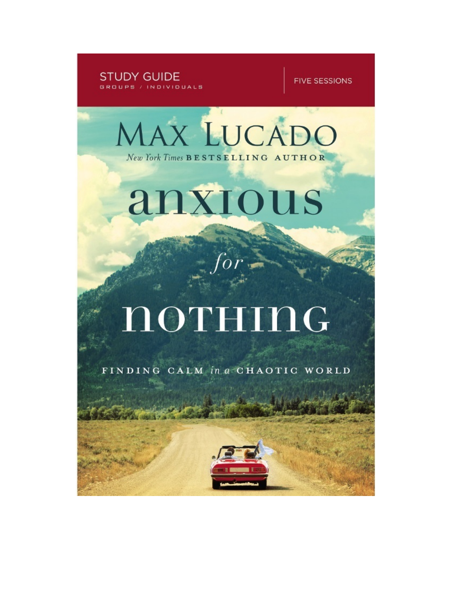

**FIVE SESSIONS** 



# anxious

# notHInG

FINDING CALM in a CHAOTIC WORLD

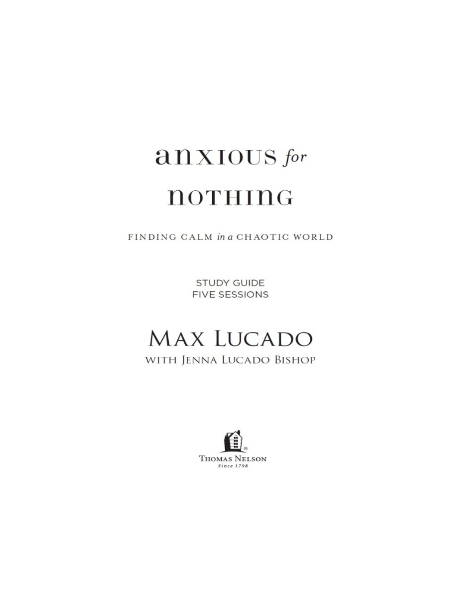# anxious for **NOTHING**

FINDING CALM in a CHAOTIC WORLD

**STUDY GUIDE FIVE SESSIONS** 

# **MAX LUCADO** WITH JENNA LUCADO BISHOP

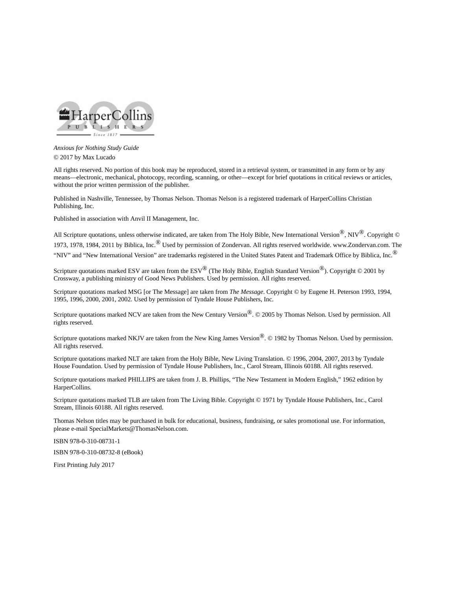

*Anxious for Nothing Study Guide* © 2017 by Max Lucado

All rights reserved. No portion of this book may be reproduced, stored in a retrieval system, or transmitted in any form or by any means—electronic, mechanical, photocopy, recording, scanning, or other—except for brief quotations in critical reviews or articles, without the prior written permission of the publisher.

Published in Nashville, Tennessee, by Thomas Nelson. Thomas Nelson is a registered trademark of HarperCollins Christian Publishing, Inc.

Published in association with Anvil II Management, Inc.

All Scripture quotations, unless otherwise indicated, are taken from The Holy Bible, New International Version<sup>®</sup>, NIV<sup>®</sup>. Copvright © 1973, 1978, 1984, 2011 by Biblica, Inc.<sup>®</sup> Used by permission of Zondervan. All rights reserved worldwide. www.Zondervan.com. The "NIV" and "New International Version" are trademarks registered in the United States Patent and Trademark Office by Biblica, Inc. $^{\circledR}$ 

Scripture quotations marked ESV are taken from the  $ESV^{\textcircled{B}}$  (The Holy Bible, English Standard Version<sup>®</sup>). Copyright © 2001 by Crossway, a publishing ministry of Good News Publishers. Used by permission. All rights reserved.

Scripture quotations marked MSG [or The Message] are taken from *The Message*. Copyright © by Eugene H. Peterson 1993, 1994, 1995, 1996, 2000, 2001, 2002. Used by permission of Tyndale House Publishers, Inc.

Scripture quotations marked NCV are taken from the New Century Version®. © 2005 by Thomas Nelson. Used by permission. All rights reserved.

Scripture quotations marked NKJV are taken from the New King James Version $\mathcal{R} \odot 1982$  by Thomas Nelson. Used by permission. All rights reserved.

Scripture quotations marked NLT are taken from the Holy Bible, New Living Translation. © 1996, 2004, 2007, 2013 by Tyndale House Foundation. Used by permission of Tyndale House Publishers, Inc., Carol Stream, Illinois 60188. All rights reserved.

Scripture quotations marked PHILLIPS are taken from J. B. Phillips, "The New Testament in Modern English," 1962 edition by HarperCollins.

Scripture quotations marked TLB are taken from The Living Bible. Copyright © 1971 by Tyndale House Publishers, Inc., Carol Stream, Illinois 60188. All rights reserved.

Thomas Nelson titles may be purchased in bulk for educational, business, fundraising, or sales promotional use. For information, please e-mail SpecialMarkets@ThomasNelson.com.

ISBN 978-0-310-08731-1 ISBN 978-0-310-08732-8 (eBook)

First Printing July 2017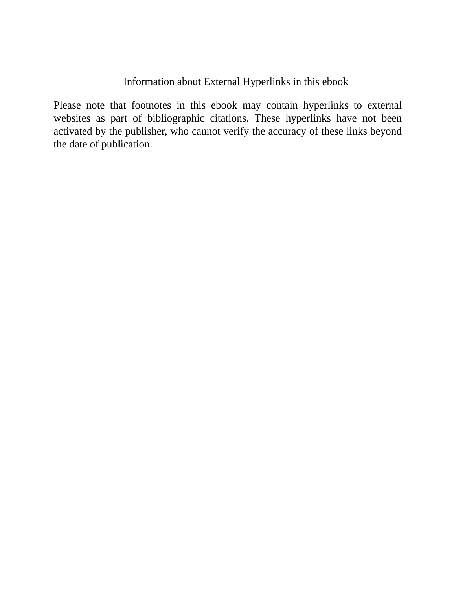#### Information about External Hyperlinks in this ebook

Please note that footnotes in this ebook may contain hyperlinks to external websites as part of bibliographic citations. These hyperlinks have not been activated by the publisher, who cannot verify the accuracy of these links beyond the date of publication.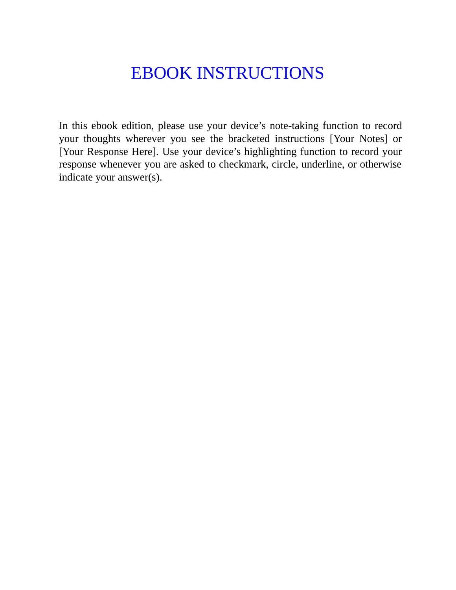## <span id="page-4-0"></span>EBOOK [INSTRUCTIONS](#page-5-0)

In this ebook edition, please use your device's note-taking function to record your thoughts wherever you see the bracketed instructions [Your Notes] or [Your Response Here]. Use your device's highlighting function to record your response whenever you are asked to checkmark, circle, underline, or otherwise indicate your answer(s).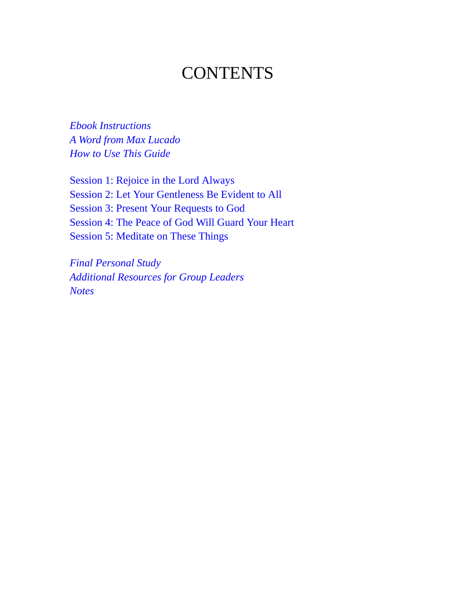### **CONTENTS**

<span id="page-5-2"></span><span id="page-5-1"></span><span id="page-5-0"></span>*Ebook [Instructions](#page-4-0) A Word from Max [Lucado](#page-6-0) How to Use This [Guide](#page-8-0)*

<span id="page-5-4"></span><span id="page-5-3"></span>Session 1: [Rejoice](#page-11-0) in the Lord Always Session 2: Let Your [Gentleness](#page-27-0) Be Evident to All Session 3: Present Your [Requests](#page-42-0) to God [Session](#page-58-0) 4: The Peace of God Will Guard Your Heart Session 5: [Meditate](#page-74-0) on These Things

*Final [Personal](#page-84-0) Study [Additional](#page-90-0) Resources for Group Leaders [Notes](#page-96-0)*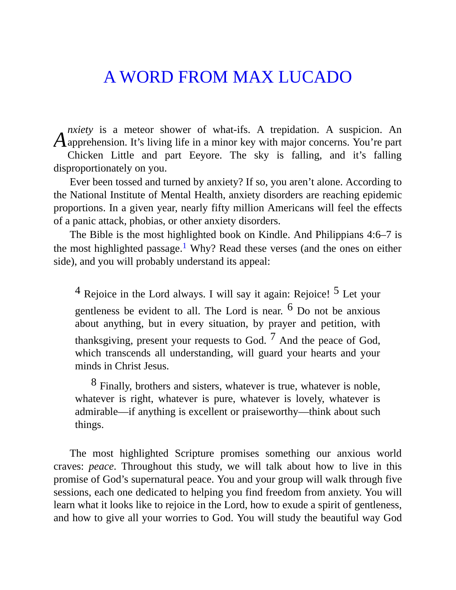### <span id="page-6-0"></span>A WORD FROM MAX [LUCADO](#page-5-1)

*A* apprehension. It's living life in a minor key with major concerns. You're part *nxiety* is a meteor shower of what-ifs. A trepidation. A suspicion. An Chicken Little and part Eeyore. The sky is falling, and it's falling disproportionately on you.

Ever been tossed and turned by anxiety? If so, you aren't alone. According to the National Institute of Mental Health, anxiety disorders are reaching epidemic proportions. In a given year, nearly fifty million Americans will feel the effects of a panic attack, phobias, or other anxiety disorders.

The Bible is the most highlighted book on Kindle. And Philippians 4:6–7 is the most highlighted passage.<sup>[1](#page-96-1)</sup> Why? Read these verses (and the ones on either side), and you will probably understand its appeal:

<sup>4</sup> Rejoice in the Lord always. I will say it again: Rejoice!  $^5$  Let your gentleness be evident to all. The Lord is near.  $^6$  Do not be anxious about anything, but in every situation, by prayer and petition, with thanksgiving, present your requests to God.  $^7$  And the peace of God, which transcends all understanding, will guard your hearts and your minds in Christ Jesus.

 $8$  Finally, brothers and sisters, whatever is true, whatever is noble, whatever is right, whatever is pure, whatever is lovely, whatever is admirable—if anything is excellent or praiseworthy—think about such things.

The most highlighted Scripture promises something our anxious world craves: *peace*. Throughout this study, we will talk about how to live in this promise of God's supernatural peace. You and your group will walk through five sessions, each one dedicated to helping you find freedom from anxiety. You will learn what it looks like to rejoice in the Lord, how to exude a spirit of gentleness, and how to give all your worries to God. You will study the beautiful way God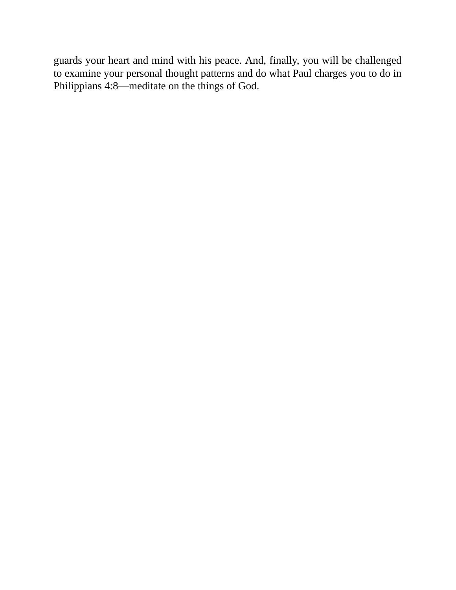guards your heart and mind with his peace. And, finally, you will be challenged to examine your personal thought patterns and do what Paul charges you to do in Philippians 4:8—meditate on the things of God.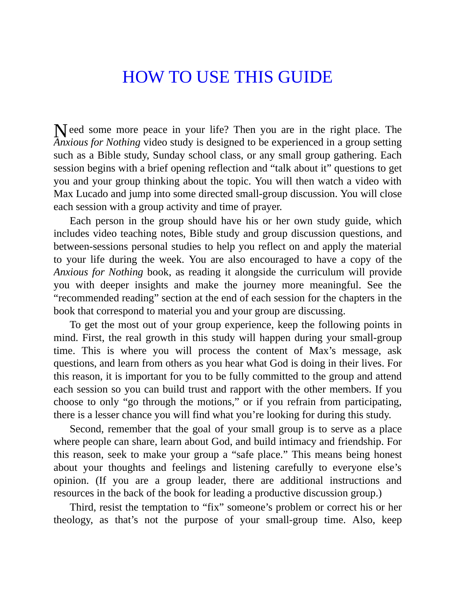### <span id="page-8-0"></span>HOW TO USE THIS [GUIDE](#page-5-2)

Need some more peace in your life? Then you are in the right place. The *Anxious for Nothing* video study is designed to be experienced in a group setting such as a Bible study, Sunday school class, or any small group gathering. Each session begins with a brief opening reflection and "talk about it" questions to get you and your group thinking about the topic. You will then watch a video with Max Lucado and jump into some directed small-group discussion. You will close each session with a group activity and time of prayer.

Each person in the group should have his or her own study guide, which includes video teaching notes, Bible study and group discussion questions, and between-sessions personal studies to help you reflect on and apply the material to your life during the week. You are also encouraged to have a copy of the *Anxious for Nothing* book, as reading it alongside the curriculum will provide you with deeper insights and make the journey more meaningful. See the "recommended reading" section at the end of each session for the chapters in the book that correspond to material you and your group are discussing.

To get the most out of your group experience, keep the following points in mind. First, the real growth in this study will happen during your small-group time. This is where you will process the content of Max's message, ask questions, and learn from others as you hear what God is doing in their lives. For this reason, it is important for you to be fully committed to the group and attend each session so you can build trust and rapport with the other members. If you choose to only "go through the motions," or if you refrain from participating, there is a lesser chance you will find what you're looking for during this study.

Second, remember that the goal of your small group is to serve as a place where people can share, learn about God, and build intimacy and friendship. For this reason, seek to make your group a "safe place." This means being honest about your thoughts and feelings and listening carefully to everyone else's opinion. (If you are a group leader, there are additional instructions and resources in the back of the book for leading a productive discussion group.)

Third, resist the temptation to "fix" someone's problem or correct his or her theology, as that's not the purpose of your small-group time. Also, keep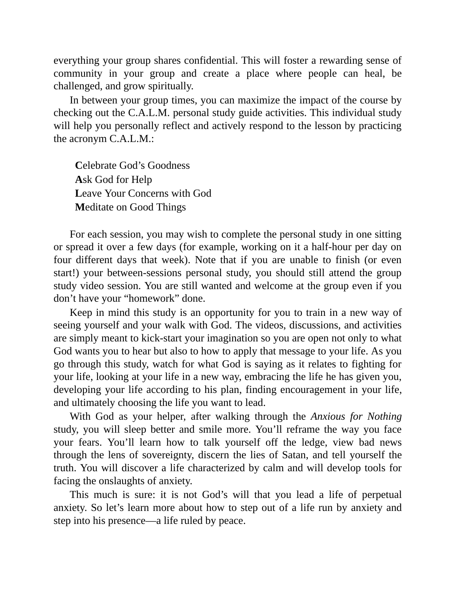everything your group shares confidential. This will foster a rewarding sense of community in your group and create a place where people can heal, be challenged, and grow spiritually.

In between your group times, you can maximize the impact of the course by checking out the C.A.L.M. personal study guide activities. This individual study will help you personally reflect and actively respond to the lesson by practicing the acronym C.A.L.M.:

**C**elebrate God's Goodness **A**sk God for Help **L**eave Your Concerns with God **M**editate on Good Things

For each session, you may wish to complete the personal study in one sitting or spread it over a few days (for example, working on it a half-hour per day on four different days that week). Note that if you are unable to finish (or even start!) your between-sessions personal study, you should still attend the group study video session. You are still wanted and welcome at the group even if you don't have your "homework" done.

Keep in mind this study is an opportunity for you to train in a new way of seeing yourself and your walk with God. The videos, discussions, and activities are simply meant to kick-start your imagination so you are open not only to what God wants you to hear but also to how to apply that message to your life. As you go through this study, watch for what God is saying as it relates to fighting for your life, looking at your life in a new way, embracing the life he has given you, developing your life according to his plan, finding encouragement in your life, and ultimately choosing the life you want to lead.

With God as your helper, after walking through the *Anxious for Nothing* study, you will sleep better and smile more. You'll reframe the way you face your fears. You'll learn how to talk yourself off the ledge, view bad news through the lens of sovereignty, discern the lies of Satan, and tell yourself the truth. You will discover a life characterized by calm and will develop tools for facing the onslaughts of anxiety.

This much is sure: it is not God's will that you lead a life of perpetual anxiety. So let's learn more about how to step out of a life run by anxiety and step into his presence—a life ruled by peace.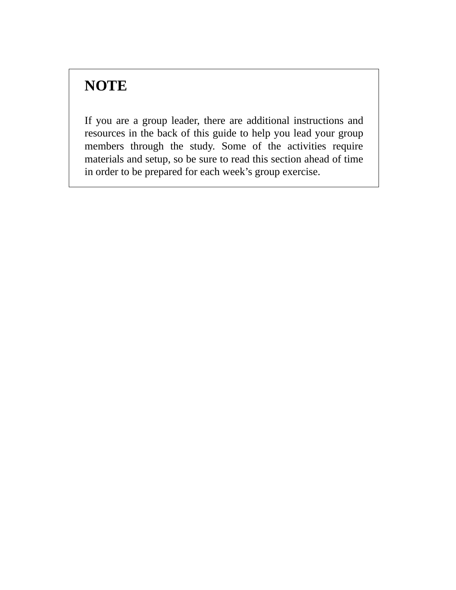### **NOTE**

If you are a group leader, there are additional instructions and resources in the back of this guide to help you lead your group members through the study. Some of the activities require materials and setup, so be sure to read this section ahead of time in order to be prepared for each week's group exercise.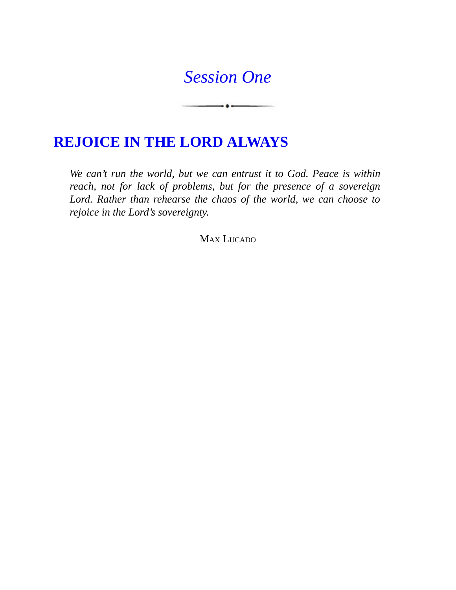### <span id="page-11-0"></span>*[Session](#page-5-3) One*

 $\bullet$ 

### **[REJOICE](#page-5-3) IN THE LORD ALWAYS**

*We can't run the world, but we can entrust it to God. Peace is within reach, not for lack of problems, but for the presence of a sovereign Lord. Rather than rehearse the chaos of the world, we can choose to rejoice in the Lord's sovereignty.*

MAX LUCADO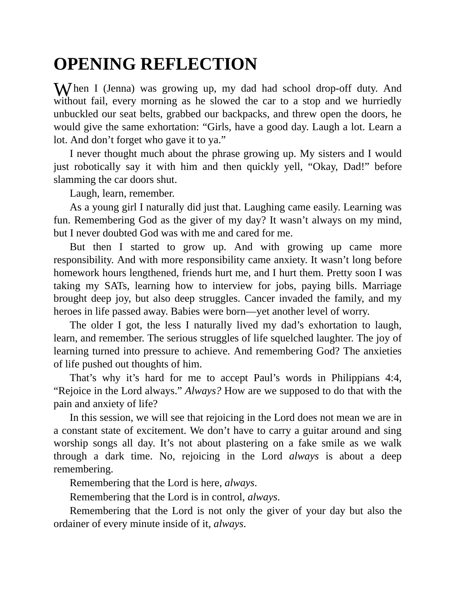## **OPENING REFLECTION**

When I (Jenna) was growing up, my dad had school drop-off duty. And without fail, every morning as he slowed the car to a stop and we hurriedly unbuckled our seat belts, grabbed our backpacks, and threw open the doors, he would give the same exhortation: "Girls, have a good day. Laugh a lot. Learn a lot. And don't forget who gave it to ya."

I never thought much about the phrase growing up. My sisters and I would just robotically say it with him and then quickly yell, "Okay, Dad!" before slamming the car doors shut.

Laugh, learn, remember.

As a young girl I naturally did just that. Laughing came easily. Learning was fun. Remembering God as the giver of my day? It wasn't always on my mind, but I never doubted God was with me and cared for me.

But then I started to grow up. And with growing up came more responsibility. And with more responsibility came anxiety. It wasn't long before homework hours lengthened, friends hurt me, and I hurt them. Pretty soon I was taking my SATs, learning how to interview for jobs, paying bills. Marriage brought deep joy, but also deep struggles. Cancer invaded the family, and my heroes in life passed away. Babies were born—yet another level of worry.

The older I got, the less I naturally lived my dad's exhortation to laugh, learn, and remember. The serious struggles of life squelched laughter. The joy of learning turned into pressure to achieve. And remembering God? The anxieties of life pushed out thoughts of him.

That's why it's hard for me to accept Paul's words in Philippians 4:4, "Rejoice in the Lord always." *Always?* How are we supposed to do that with the pain and anxiety of life?

In this session, we will see that rejoicing in the Lord does not mean we are in a constant state of excitement. We don't have to carry a guitar around and sing worship songs all day. It's not about plastering on a fake smile as we walk through a dark time. No, rejoicing in the Lord *always* is about a deep remembering.

Remembering that the Lord is here, *always*.

Remembering that the Lord is in control, *always*.

Remembering that the Lord is not only the giver of your day but also the ordainer of every minute inside of it, *always*.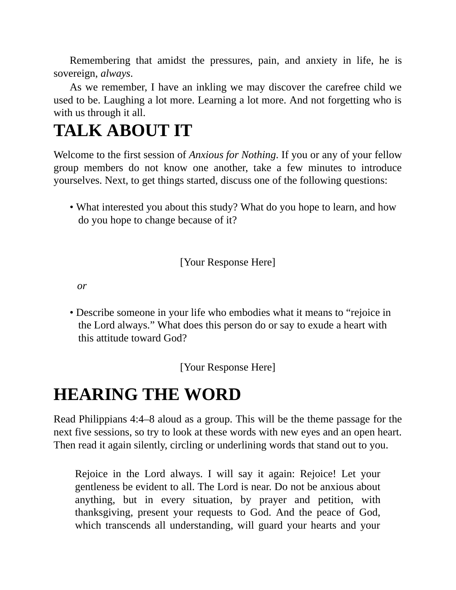Remembering that amidst the pressures, pain, and anxiety in life, he is sovereign, *always*.

As we remember, I have an inkling we may discover the carefree child we used to be. Laughing a lot more. Learning a lot more. And not forgetting who is with us through it all.

# **TALK ABOUT IT**

Welcome to the first session of *Anxious for Nothing*. If you or any of your fellow group members do not know one another, take a few minutes to introduce yourselves. Next, to get things started, discuss one of the following questions:

• What interested you about this study? What do you hope to learn, and how do you hope to change because of it?

[Your Response Here]

*or*

• Describe someone in your life who embodies what it means to "rejoice in the Lord always." What does this person do or say to exude a heart with this attitude toward God?

[Your Response Here]

# **HEARING THE WORD**

Read Philippians 4:4–8 aloud as a group. This will be the theme passage for the next five sessions, so try to look at these words with new eyes and an open heart. Then read it again silently, circling or underlining words that stand out to you.

Rejoice in the Lord always. I will say it again: Rejoice! Let your gentleness be evident to all. The Lord is near. Do not be anxious about anything, but in every situation, by prayer and petition, with thanksgiving, present your requests to God. And the peace of God, which transcends all understanding, will guard your hearts and your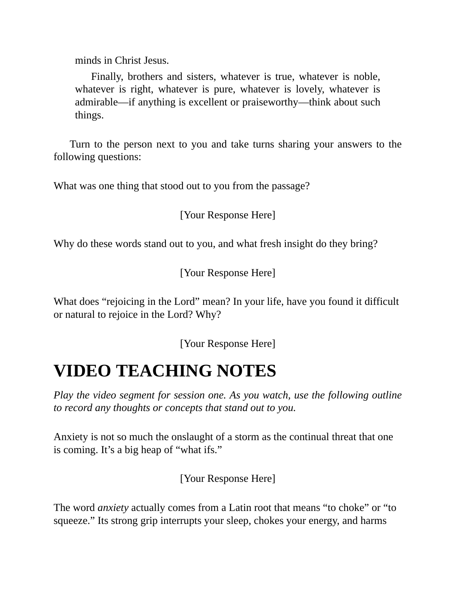minds in Christ Jesus.

Finally, brothers and sisters, whatever is true, whatever is noble, whatever is right, whatever is pure, whatever is lovely, whatever is admirable—if anything is excellent or praiseworthy—think about such things.

Turn to the person next to you and take turns sharing your answers to the following questions:

What was one thing that stood out to you from the passage?

[Your Response Here]

Why do these words stand out to you, and what fresh insight do they bring?

[Your Response Here]

What does "rejoicing in the Lord" mean? In your life, have you found it difficult or natural to rejoice in the Lord? Why?

[Your Response Here]

# **VIDEO TEACHING NOTES**

*Play the video segment for session one. As you watch, use the following outline to record any thoughts or concepts that stand out to you.*

Anxiety is not so much the onslaught of a storm as the continual threat that one is coming. It's a big heap of "what ifs."

[Your Response Here]

The word *anxiety* actually comes from a Latin root that means "to choke" or "to squeeze." Its strong grip interrupts your sleep, chokes your energy, and harms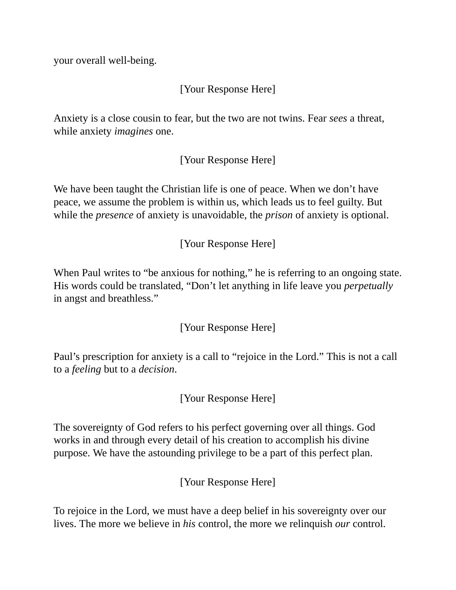your overall well-being.

[Your Response Here]

Anxiety is a close cousin to fear, but the two are not twins. Fear *sees* a threat, while anxiety *imagines* one.

[Your Response Here]

We have been taught the Christian life is one of peace. When we don't have peace, we assume the problem is within us, which leads us to feel guilty. But while the *presence* of anxiety is unavoidable, the *prison* of anxiety is optional.

[Your Response Here]

When Paul writes to "be anxious for nothing," he is referring to an ongoing state. His words could be translated, "Don't let anything in life leave you *perpetually* in angst and breathless."

[Your Response Here]

Paul's prescription for anxiety is a call to "rejoice in the Lord." This is not a call to a *feeling* but to a *decision*.

[Your Response Here]

The sovereignty of God refers to his perfect governing over all things. God works in and through every detail of his creation to accomplish his divine purpose. We have the astounding privilege to be a part of this perfect plan.

[Your Response Here]

To rejoice in the Lord, we must have a deep belief in his sovereignty over our lives. The more we believe in *his* control, the more we relinquish *our* control.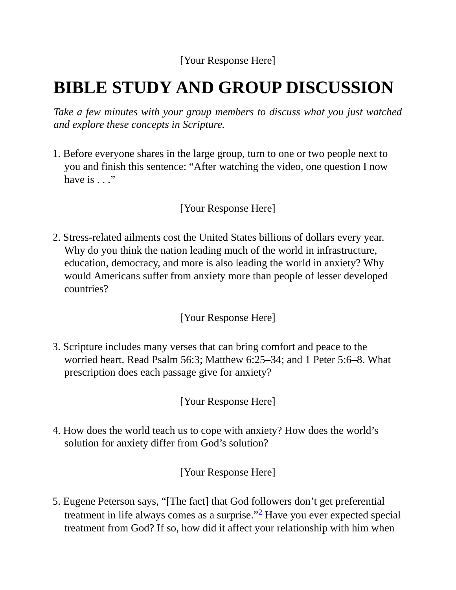[Your Response Here]

# **BIBLE STUDY AND GROUP DISCUSSION**

*Take a few minutes with your group members to discuss what you just watched and explore these concepts in Scripture.*

1. Before everyone shares in the large group, turn to one or two people next to you and finish this sentence: "After watching the video, one question I now have is  $\ldots$ "

[Your Response Here]

2. Stress-related ailments cost the United States billions of dollars every year. Why do you think the nation leading much of the world in infrastructure, education, democracy, and more is also leading the world in anxiety? Why would Americans suffer from anxiety more than people of lesser developed countries?

[Your Response Here]

3. Scripture includes many verses that can bring comfort and peace to the worried heart. Read Psalm 56:3; Matthew 6:25–34; and 1 Peter 5:6–8. What prescription does each passage give for anxiety?

[Your Response Here]

4. How does the world teach us to cope with anxiety? How does the world's solution for anxiety differ from God's solution?

[Your Response Here]

5. Eugene Peterson says, "[The fact] that God followers don't get preferential treatment in life always comes as a surprise."<sup>[2](#page-96-2)</sup> Have you ever expected special treatment from God? If so, how did it affect your relationship with him when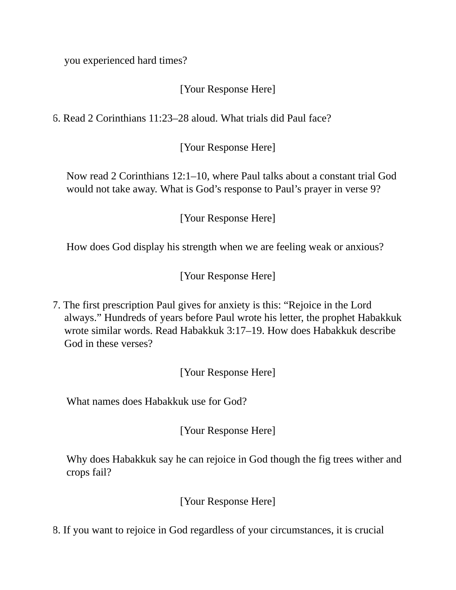you experienced hard times?

#### [Your Response Here]

6. Read 2 Corinthians 11:23–28 aloud. What trials did Paul face?

[Your Response Here]

Now read 2 Corinthians 12:1–10, where Paul talks about a constant trial God would not take away. What is God's response to Paul's prayer in verse 9?

[Your Response Here]

How does God display his strength when we are feeling weak or anxious?

[Your Response Here]

7. The first prescription Paul gives for anxiety is this: "Rejoice in the Lord always." Hundreds of years before Paul wrote his letter, the prophet Habakkuk wrote similar words. Read Habakkuk 3:17–19. How does Habakkuk describe God in these verses?

[Your Response Here]

What names does Habakkuk use for God?

[Your Response Here]

Why does Habakkuk say he can rejoice in God though the fig trees wither and crops fail?

[Your Response Here]

8. If you want to rejoice in God regardless of your circumstances, it is crucial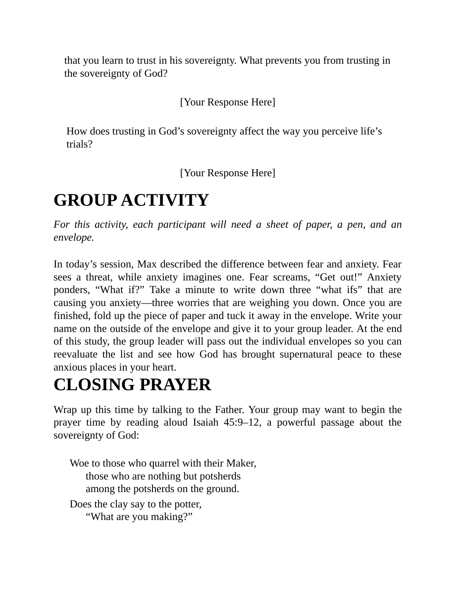that you learn to trust in his sovereignty. What prevents you from trusting in the sovereignty of God?

[Your Response Here]

How does trusting in God's sovereignty affect the way you perceive life's trials?

[Your Response Here]

# **GROUP ACTIVITY**

*For this activity, each participant will need a sheet of paper, a pen, and an envelope.*

In today's session, Max described the difference between fear and anxiety. Fear sees a threat, while anxiety imagines one. Fear screams, "Get out!" Anxiety ponders, "What if?" Take a minute to write down three "what ifs" that are causing you anxiety—three worries that are weighing you down. Once you are finished, fold up the piece of paper and tuck it away in the envelope. Write your name on the outside of the envelope and give it to your group leader. At the end of this study, the group leader will pass out the individual envelopes so you can reevaluate the list and see how God has brought supernatural peace to these anxious places in your heart.

# **CLOSING PRAYER**

Wrap up this time by talking to the Father. Your group may want to begin the prayer time by reading aloud Isaiah 45:9–12, a powerful passage about the sovereignty of God:

Woe to those who quarrel with their Maker, those who are nothing but potsherds among the potsherds on the ground. Does the clay say to the potter, "What are you making?"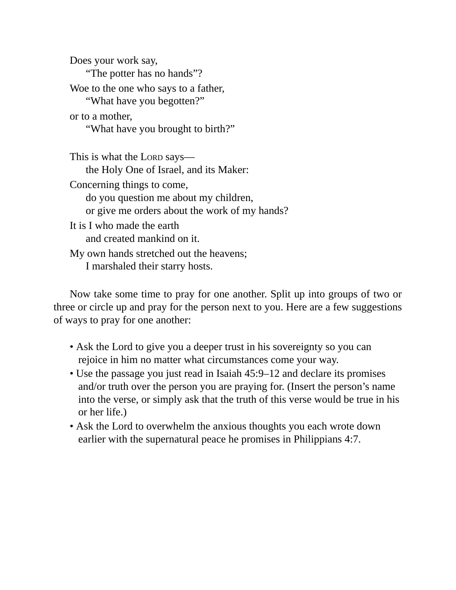Does your work say, "The potter has no hands"? Woe to the one who says to a father, "What have you begotten?" or to a mother, "What have you brought to birth?" This is what the LORD says the Holy One of Israel, and its Maker: Concerning things to come, do you question me about my children, or give me orders about the work of my hands? It is I who made the earth

and created mankind on it.

My own hands stretched out the heavens;

I marshaled their starry hosts.

Now take some time to pray for one another. Split up into groups of two or three or circle up and pray for the person next to you. Here are a few suggestions of ways to pray for one another:

- Ask the Lord to give you a deeper trust in his sovereignty so you can rejoice in him no matter what circumstances come your way.
- Use the passage you just read in Isaiah 45:9–12 and declare its promises and/or truth over the person you are praying for. (Insert the person's name into the verse, or simply ask that the truth of this verse would be true in his or her life.)
- Ask the Lord to overwhelm the anxious thoughts you each wrote down earlier with the supernatural peace he promises in Philippians 4:7.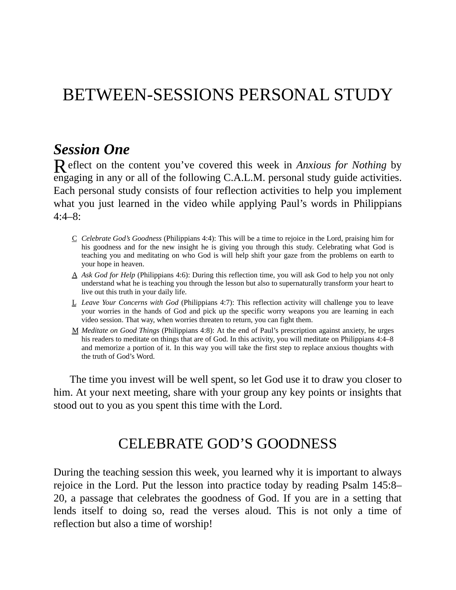## BETWEEN-SESSIONS PERSONAL STUDY

### *Session One*

R eflect on the content you've covered this week in *Anxious for Nothing* by engaging in any or all of the following C.A.L.M. personal study guide activities. Each personal study consists of four reflection activities to help you implement what you just learned in the video while applying Paul's words in Philippians 4:4–8:

- C *Celebrate God's Goodness* (Philippians 4:4): This will be a time to rejoice in the Lord, praising him for his goodness and for the new insight he is giving you through this study. Celebrating what God is teaching you and meditating on who God is will help shift your gaze from the problems on earth to your hope in heaven.
- A *Ask God for Help* (Philippians 4:6): During this reflection time, you will ask God to help you not only understand what he is teaching you through the lesson but also to supernaturally transform your heart to live out this truth in your daily life.
- L *Leave Your Concerns with God* (Philippians 4:7): This reflection activity will challenge you to leave your worries in the hands of God and pick up the specific worry weapons you are learning in each video session. That way, when worries threaten to return, you can fight them.
- M *Meditate on Good Things* (Philippians 4:8): At the end of Paul's prescription against anxiety, he urges his readers to meditate on things that are of God. In this activity, you will meditate on Philippians 4:4–8 and memorize a portion of it. In this way you will take the first step to replace anxious thoughts with the truth of God's Word.

The time you invest will be well spent, so let God use it to draw you closer to him. At your next meeting, share with your group any key points or insights that stood out to you as you spent this time with the Lord.

### CELEBRATE GOD'S GOODNESS

During the teaching session this week, you learned why it is important to always rejoice in the Lord. Put the lesson into practice today by reading Psalm 145:8– 20, a passage that celebrates the goodness of God. If you are in a setting that lends itself to doing so, read the verses aloud. This is not only a time of reflection but also a time of worship!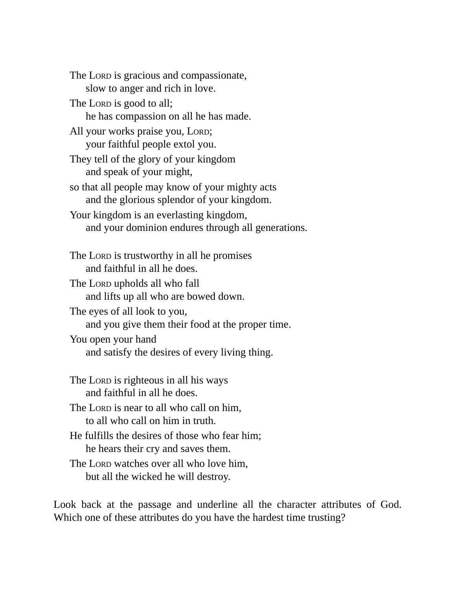The LORD is gracious and compassionate, slow to anger and rich in love. The LORD is good to all; he has compassion on all he has made. All your works praise you, LORD; your faithful people extol you. They tell of the glory of your kingdom and speak of your might, so that all people may know of your mighty acts and the glorious splendor of your kingdom. Your kingdom is an everlasting kingdom, and your dominion endures through all generations. The LORD is trustworthy in all he promises and faithful in all he does. The LORD upholds all who fall and lifts up all who are bowed down. The eyes of all look to you, and you give them their food at the proper time. You open your hand and satisfy the desires of every living thing. The LORD is righteous in all his ways and faithful in all he does. The LORD is near to all who call on him, to all who call on him in truth. He fulfills the desires of those who fear him; he hears their cry and saves them. The LORD watches over all who love him, but all the wicked he will destroy.

Look back at the passage and underline all the character attributes of God. Which one of these attributes do you have the hardest time trusting?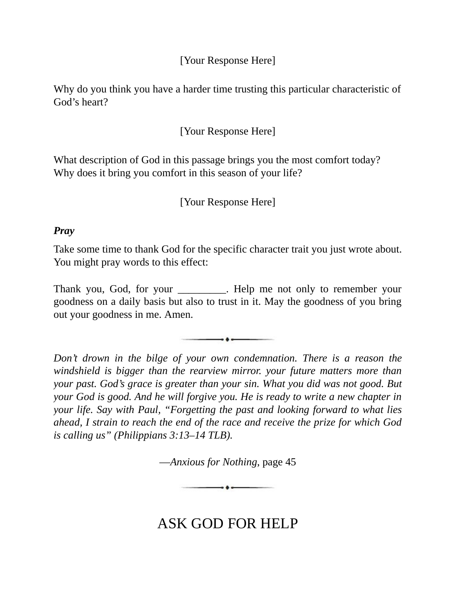#### [Your Response Here]

Why do you think you have a harder time trusting this particular characteristic of God's heart?

#### [Your Response Here]

What description of God in this passage brings you the most comfort today? Why does it bring you comfort in this season of your life?

#### [Your Response Here]

#### *Pray*

Take some time to thank God for the specific character trait you just wrote about. You might pray words to this effect:

Thank you, God, for your \_\_\_\_\_\_\_\_\_\_. Help me not only to remember your goodness on a daily basis but also to trust in it. May the goodness of you bring out your goodness in me. Amen.

 $\overline{\phantom{a}}$ 

*Don't drown in the bilge of your own condemnation. There is a reason the windshield is bigger than the rearview mirror. your future matters more than your past. God's grace is greater than your sin. What you did was not good. But your God is good. And he will forgive you. He is ready to write a new chapter in your life. Say with Paul, "Forgetting the past and looking forward to what lies ahead, I strain to reach the end of the race and receive the prize for which God is calling us" (Philippians 3:13–14 TLB).*

—*Anxious for Nothing*, page 45

 $\overline{\cdots}$ 

ASK GOD FOR HELP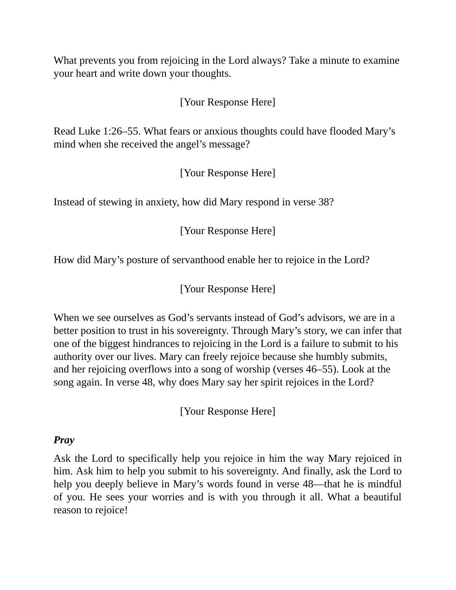What prevents you from rejoicing in the Lord always? Take a minute to examine your heart and write down your thoughts.

[Your Response Here]

Read Luke 1:26–55. What fears or anxious thoughts could have flooded Mary's mind when she received the angel's message?

[Your Response Here]

Instead of stewing in anxiety, how did Mary respond in verse 38?

[Your Response Here]

How did Mary's posture of servanthood enable her to rejoice in the Lord?

[Your Response Here]

When we see ourselves as God's servants instead of God's advisors, we are in a better position to trust in his sovereignty. Through Mary's story, we can infer that one of the biggest hindrances to rejoicing in the Lord is a failure to submit to his authority over our lives. Mary can freely rejoice because she humbly submits, and her rejoicing overflows into a song of worship (verses 46–55). Look at the song again. In verse 48, why does Mary say her spirit rejoices in the Lord?

[Your Response Here]

#### *Pray*

Ask the Lord to specifically help you rejoice in him the way Mary rejoiced in him. Ask him to help you submit to his sovereignty. And finally, ask the Lord to help you deeply believe in Mary's words found in verse 48—that he is mindful of you. He sees your worries and is with you through it all. What a beautiful reason to rejoice!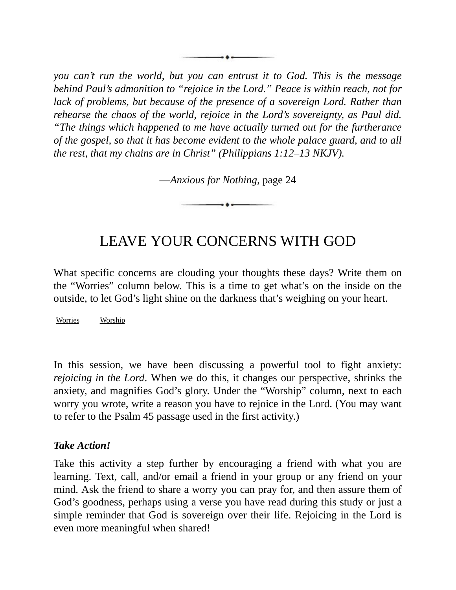*you can't run the world, but you can entrust it to God. This is the message behind Paul's admonition to "rejoice in the Lord." Peace is within reach, not for lack of problems, but because of the presence of a sovereign Lord. Rather than rehearse the chaos of the world, rejoice in the Lord's sovereignty, as Paul did. "The things which happened to me have actually turned out for the furtherance of the gospel, so that it has become evident to the whole palace guard, and to all the rest, that my chains are in Christ" (Philippians 1:12–13 NKJV).*

—*Anxious for Nothing*, page 24

 $\overline{\phantom{a}}$ 

### LEAVE YOUR CONCERNS WITH GOD

What specific concerns are clouding your thoughts these days? Write them on the "Worries" column below. This is a time to get what's on the inside on the outside, to let God's light shine on the darkness that's weighing on your heart.

Worries Worship

In this session, we have been discussing a powerful tool to fight anxiety: *rejoicing in the Lord*. When we do this, it changes our perspective, shrinks the anxiety, and magnifies God's glory. Under the "Worship" column, next to each worry you wrote, write a reason you have to rejoice in the Lord. (You may want to refer to the Psalm 45 passage used in the first activity.)

#### *Take Action!*

Take this activity a step further by encouraging a friend with what you are learning. Text, call, and/or email a friend in your group or any friend on your mind. Ask the friend to share a worry you can pray for, and then assure them of God's goodness, perhaps using a verse you have read during this study or just a simple reminder that God is sovereign over their life. Rejoicing in the Lord is even more meaningful when shared!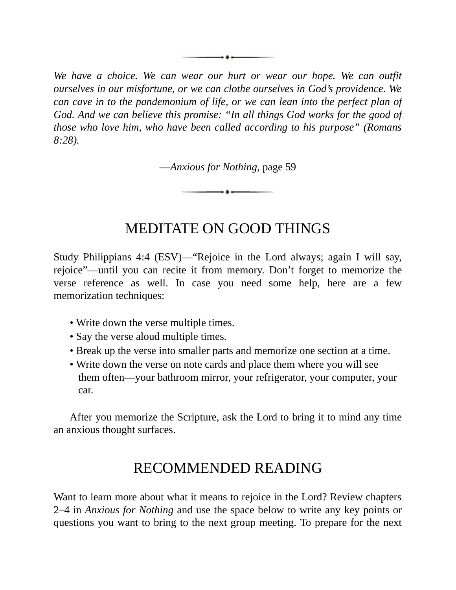*We have a choice. We can wear our hurt or wear our hope. We can outfit ourselves in our misfortune, or we can clothe ourselves in God's providence. We can cave in to the pandemonium of life, or we can lean into the perfect plan of God. And we can believe this promise: "In all things God works for the good of those who love him, who have been called according to his purpose" (Romans 8:28).*

—*Anxious for Nothing*, page 59

 $\bullet$ 

### MEDITATE ON GOOD THINGS

Study Philippians 4:4 (ESV)—"Rejoice in the Lord always; again I will say, rejoice"—until you can recite it from memory. Don't forget to memorize the verse reference as well. In case you need some help, here are a few memorization techniques:

- Write down the verse multiple times.
- Say the verse aloud multiple times.
- Break up the verse into smaller parts and memorize one section at a time.
- Write down the verse on note cards and place them where you will see them often—your bathroom mirror, your refrigerator, your computer, your car.

After you memorize the Scripture, ask the Lord to bring it to mind any time an anxious thought surfaces.

### RECOMMENDED READING

Want to learn more about what it means to rejoice in the Lord? Review chapters 2–4 in *Anxious for Nothing* and use the space below to write any key points or questions you want to bring to the next group meeting. To prepare for the next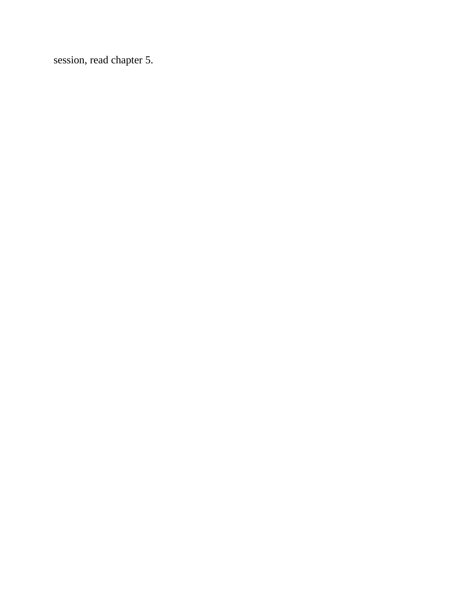session, read chapter 5.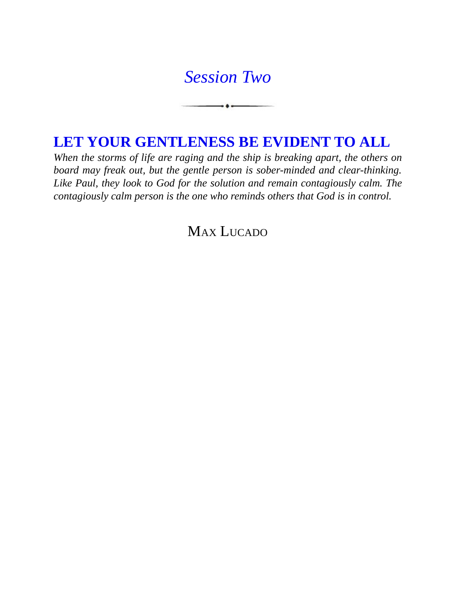### <span id="page-27-0"></span>*[Session](#page-5-4) Two*

 $\ddotsc$ 

### **LET YOUR [GENTLENESS](#page-5-4) BE EVIDENT TO ALL**

*When the storms of life are raging and the ship is breaking apart, the others on board may freak out, but the gentle person is sober-minded and clear-thinking. Like Paul, they look to God for the solution and remain contagiously calm. The contagiously calm person is the one who reminds others that God is in control.*

### MAX LUCADO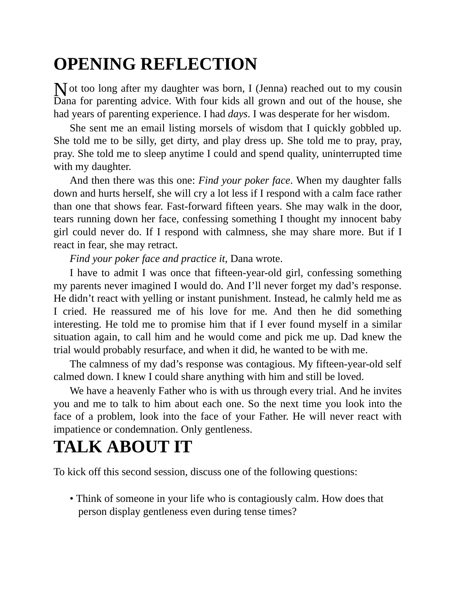# **OPENING REFLECTION**

N ot too long after my daughter was born, I (Jenna) reached out to my cousin<br>Dans for paranting advise, With four kids all group and out of the boyes, she Dana for parenting advice. With four kids all grown and out of the house, she had years of parenting experience. I had *days*. I was desperate for her wisdom.

She sent me an email listing morsels of wisdom that I quickly gobbled up. She told me to be silly, get dirty, and play dress up. She told me to pray, pray, pray. She told me to sleep anytime I could and spend quality, uninterrupted time with my daughter.

And then there was this one: *Find your poker face*. When my daughter falls down and hurts herself, she will cry a lot less if I respond with a calm face rather than one that shows fear. Fast-forward fifteen years. She may walk in the door, tears running down her face, confessing something I thought my innocent baby girl could never do. If I respond with calmness, she may share more. But if I react in fear, she may retract.

*Find your poker face and practice it*, Dana wrote.

I have to admit I was once that fifteen-year-old girl, confessing something my parents never imagined I would do. And I'll never forget my dad's response. He didn't react with yelling or instant punishment. Instead, he calmly held me as I cried. He reassured me of his love for me. And then he did something interesting. He told me to promise him that if I ever found myself in a similar situation again, to call him and he would come and pick me up. Dad knew the trial would probably resurface, and when it did, he wanted to be with me.

The calmness of my dad's response was contagious. My fifteen-year-old self calmed down. I knew I could share anything with him and still be loved.

We have a heavenly Father who is with us through every trial. And he invites you and me to talk to him about each one. So the next time you look into the face of a problem, look into the face of your Father. He will never react with impatience or condemnation. Only gentleness.

### **TALK ABOUT IT**

To kick off this second session, discuss one of the following questions:

• Think of someone in your life who is contagiously calm. How does that person display gentleness even during tense times?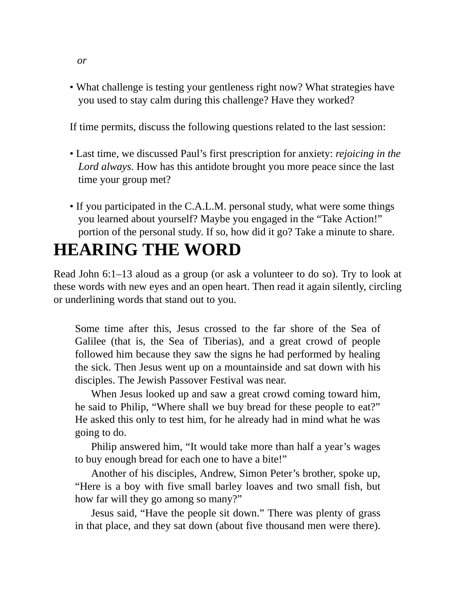• What challenge is testing your gentleness right now? What strategies have you used to stay calm during this challenge? Have they worked?

If time permits, discuss the following questions related to the last session:

- Last time, we discussed Paul's first prescription for anxiety: *rejoicing in the Lord always*. How has this antidote brought you more peace since the last time your group met?
- If you participated in the C.A.L.M. personal study, what were some things you learned about yourself? Maybe you engaged in the "Take Action!" portion of the personal study. If so, how did it go? Take a minute to share.

### **HEARING THE WORD**

Read John 6:1–13 aloud as a group (or ask a volunteer to do so). Try to look at these words with new eyes and an open heart. Then read it again silently, circling or underlining words that stand out to you.

Some time after this, Jesus crossed to the far shore of the Sea of Galilee (that is, the Sea of Tiberias), and a great crowd of people followed him because they saw the signs he had performed by healing the sick. Then Jesus went up on a mountainside and sat down with his disciples. The Jewish Passover Festival was near.

When Jesus looked up and saw a great crowd coming toward him, he said to Philip, "Where shall we buy bread for these people to eat?" He asked this only to test him, for he already had in mind what he was going to do.

Philip answered him, "It would take more than half a year's wages to buy enough bread for each one to have a bite!"

Another of his disciples, Andrew, Simon Peter's brother, spoke up, "Here is a boy with five small barley loaves and two small fish, but how far will they go among so many?"

Jesus said, "Have the people sit down." There was plenty of grass in that place, and they sat down (about five thousand men were there).

*or*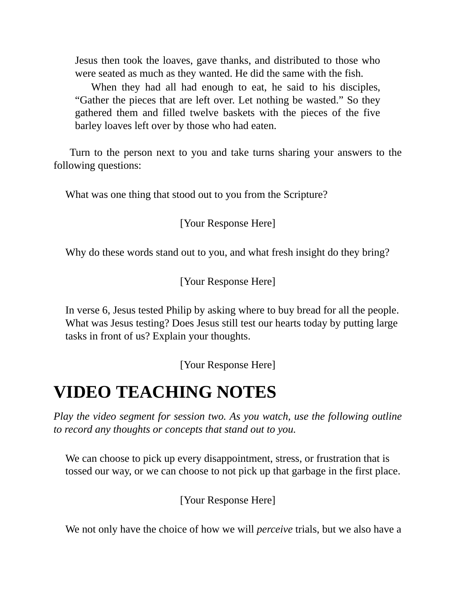Jesus then took the loaves, gave thanks, and distributed to those who were seated as much as they wanted. He did the same with the fish.

When they had all had enough to eat, he said to his disciples, "Gather the pieces that are left over. Let nothing be wasted." So they gathered them and filled twelve baskets with the pieces of the five barley loaves left over by those who had eaten.

Turn to the person next to you and take turns sharing your answers to the following questions:

What was one thing that stood out to you from the Scripture?

[Your Response Here]

Why do these words stand out to you, and what fresh insight do they bring?

[Your Response Here]

In verse 6, Jesus tested Philip by asking where to buy bread for all the people. What was Jesus testing? Does Jesus still test our hearts today by putting large tasks in front of us? Explain your thoughts.

[Your Response Here]

## **VIDEO TEACHING NOTES**

*Play the video segment for session two. As you watch, use the following outline to record any thoughts or concepts that stand out to you.*

We can choose to pick up every disappointment, stress, or frustration that is tossed our way, or we can choose to not pick up that garbage in the first place.

[Your Response Here]

We not only have the choice of how we will *perceive* trials, but we also have a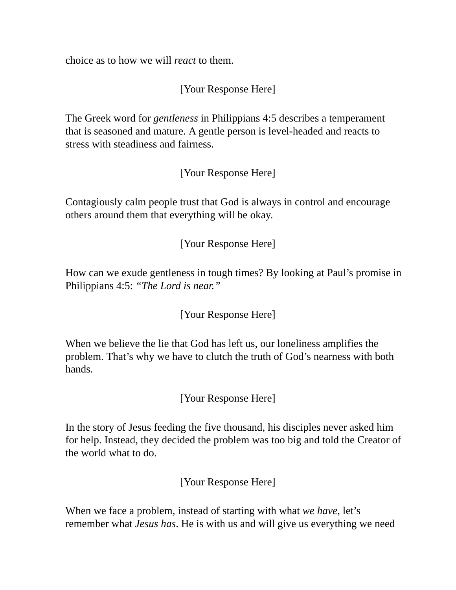choice as to how we will *react* to them.

[Your Response Here]

The Greek word for *gentleness* in Philippians 4:5 describes a temperament that is seasoned and mature. A gentle person is level-headed and reacts to stress with steadiness and fairness.

[Your Response Here]

Contagiously calm people trust that God is always in control and encourage others around them that everything will be okay.

[Your Response Here]

How can we exude gentleness in tough times? By looking at Paul's promise in Philippians 4:5: *"The Lord is near."*

[Your Response Here]

When we believe the lie that God has left us, our loneliness amplifies the problem. That's why we have to clutch the truth of God's nearness with both hands.

[Your Response Here]

In the story of Jesus feeding the five thousand, his disciples never asked him for help. Instead, they decided the problem was too big and told the Creator of the world what to do.

[Your Response Here]

When we face a problem, instead of starting with what *we have*, let's remember what *Jesus has*. He is with us and will give us everything we need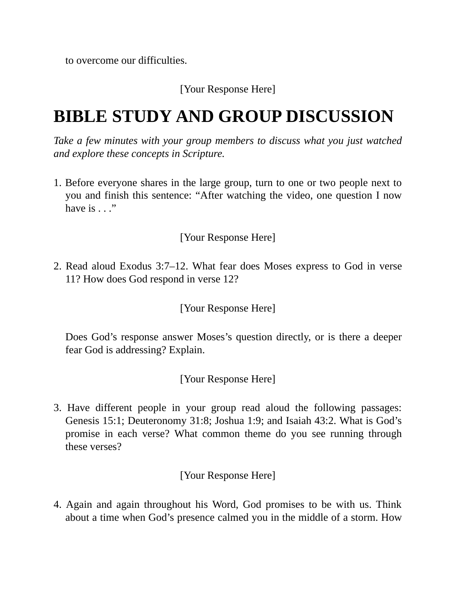to overcome our difficulties.

#### [Your Response Here]

# **BIBLE STUDY AND GROUP DISCUSSION**

*Take a few minutes with your group members to discuss what you just watched and explore these concepts in Scripture.*

1. Before everyone shares in the large group, turn to one or two people next to you and finish this sentence: "After watching the video, one question I now have is  $\ldots$ "

[Your Response Here]

2. Read aloud Exodus 3:7–12. What fear does Moses express to God in verse 11? How does God respond in verse 12?

[Your Response Here]

Does God's response answer Moses's question directly, or is there a deeper fear God is addressing? Explain.

[Your Response Here]

3. Have different people in your group read aloud the following passages: Genesis 15:1; Deuteronomy 31:8; Joshua 1:9; and Isaiah 43:2. What is God's promise in each verse? What common theme do you see running through these verses?

[Your Response Here]

4. Again and again throughout his Word, God promises to be with us. Think about a time when God's presence calmed you in the middle of a storm. How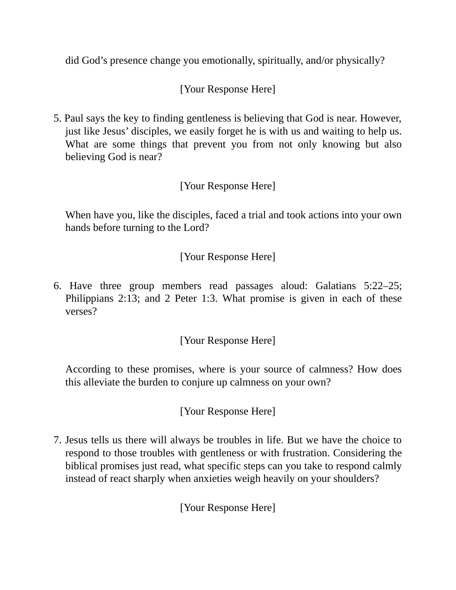did God's presence change you emotionally, spiritually, and/or physically?

[Your Response Here]

5. Paul says the key to finding gentleness is believing that God is near. However, just like Jesus' disciples, we easily forget he is with us and waiting to help us. What are some things that prevent you from not only knowing but also believing God is near?

#### [Your Response Here]

When have you, like the disciples, faced a trial and took actions into your own hands before turning to the Lord?

#### [Your Response Here]

6. Have three group members read passages aloud: Galatians 5:22–25; Philippians 2:13; and 2 Peter 1:3. What promise is given in each of these verses?

#### [Your Response Here]

According to these promises, where is your source of calmness? How does this alleviate the burden to conjure up calmness on your own?

[Your Response Here]

7. Jesus tells us there will always be troubles in life. But we have the choice to respond to those troubles with gentleness or with frustration. Considering the biblical promises just read, what specific steps can you take to respond calmly instead of react sharply when anxieties weigh heavily on your shoulders?

[Your Response Here]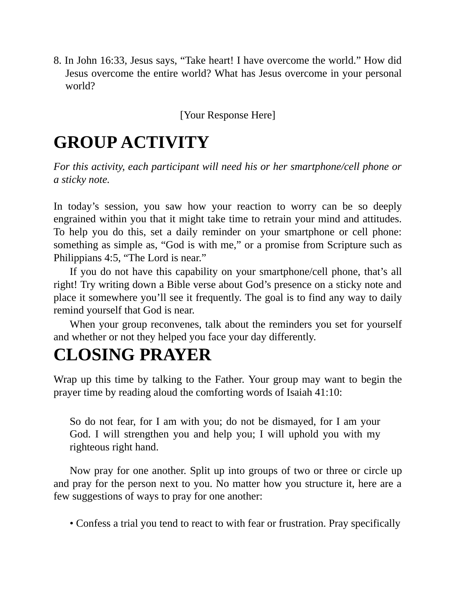8. In John 16:33, Jesus says, "Take heart! I have overcome the world." How did Jesus overcome the entire world? What has Jesus overcome in your personal world?

[Your Response Here]

# **GROUP ACTIVITY**

*For this activity, each participant will need his or her smartphone/cell phone or a sticky note.*

In today's session, you saw how your reaction to worry can be so deeply engrained within you that it might take time to retrain your mind and attitudes. To help you do this, set a daily reminder on your smartphone or cell phone: something as simple as, "God is with me," or a promise from Scripture such as Philippians 4:5, "The Lord is near."

If you do not have this capability on your smartphone/cell phone, that's all right! Try writing down a Bible verse about God's presence on a sticky note and place it somewhere you'll see it frequently. The goal is to find any way to daily remind yourself that God is near.

When your group reconvenes, talk about the reminders you set for yourself and whether or not they helped you face your day differently.

### **CLOSING PRAYER**

Wrap up this time by talking to the Father. Your group may want to begin the prayer time by reading aloud the comforting words of Isaiah 41:10:

So do not fear, for I am with you; do not be dismayed, for I am your God. I will strengthen you and help you; I will uphold you with my righteous right hand.

Now pray for one another. Split up into groups of two or three or circle up and pray for the person next to you. No matter how you structure it, here are a few suggestions of ways to pray for one another:

• Confess a trial you tend to react to with fear or frustration. Pray specifically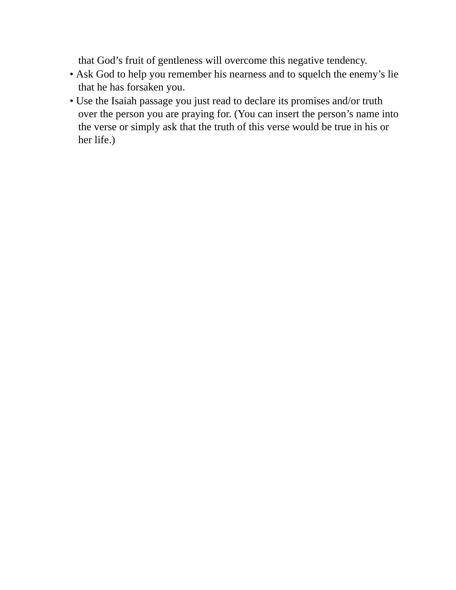that God's fruit of gentleness will overcome this negative tendency.

- Ask God to help you remember his nearness and to squelch the enemy's lie that he has forsaken you.
- Use the Isaiah passage you just read to declare its promises and/or truth over the person you are praying for. (You can insert the person's name into the verse or simply ask that the truth of this verse would be true in his or her life.)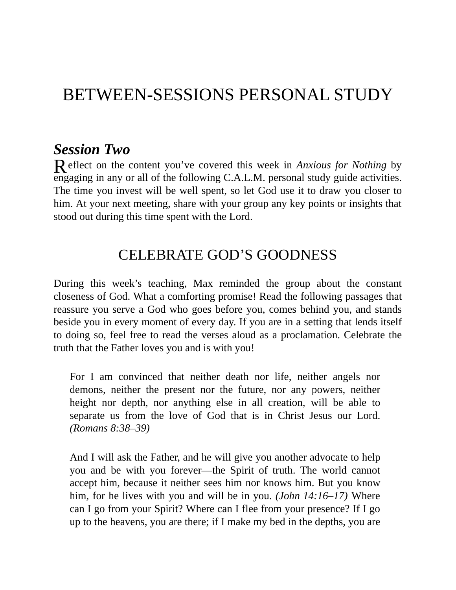# BETWEEN-SESSIONS PERSONAL STUDY

### *Session Two*

R eflect on the content you've covered this week in *Anxious for Nothing* by engaging in any or all of the following C.A.L.M. personal study guide activities. The time you invest will be well spent, so let God use it to draw you closer to him. At your next meeting, share with your group any key points or insights that stood out during this time spent with the Lord.

## CELEBRATE GOD'S GOODNESS

During this week's teaching, Max reminded the group about the constant closeness of God. What a comforting promise! Read the following passages that reassure you serve a God who goes before you, comes behind you, and stands beside you in every moment of every day. If you are in a setting that lends itself to doing so, feel free to read the verses aloud as a proclamation. Celebrate the truth that the Father loves you and is with you!

For I am convinced that neither death nor life, neither angels nor demons, neither the present nor the future, nor any powers, neither height nor depth, nor anything else in all creation, will be able to separate us from the love of God that is in Christ Jesus our Lord. *(Romans 8:38–39)*

And I will ask the Father, and he will give you another advocate to help you and be with you forever—the Spirit of truth. The world cannot accept him, because it neither sees him nor knows him. But you know him, for he lives with you and will be in you. *(John 14:16–17)* Where can I go from your Spirit? Where can I flee from your presence? If I go up to the heavens, you are there; if I make my bed in the depths, you are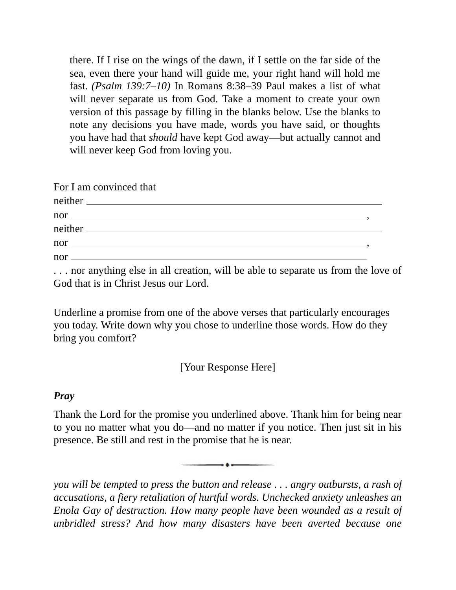there. If I rise on the wings of the dawn, if I settle on the far side of the sea, even there your hand will guide me, your right hand will hold me fast. *(Psalm 139:7–10)* In Romans 8:38–39 Paul makes a list of what will never separate us from God. Take a moment to create your own version of this passage by filling in the blanks below. Use the blanks to note any decisions you have made, words you have said, or thoughts you have had that *should* have kept God away—but actually cannot and will never keep God from loving you.

| For I am convinced that                                                                                                                                                                                                                                                                                                          |  |  |  |  |                                                                                                                                                                                                                                  |  |
|----------------------------------------------------------------------------------------------------------------------------------------------------------------------------------------------------------------------------------------------------------------------------------------------------------------------------------|--|--|--|--|----------------------------------------------------------------------------------------------------------------------------------------------------------------------------------------------------------------------------------|--|
|                                                                                                                                                                                                                                                                                                                                  |  |  |  |  |                                                                                                                                                                                                                                  |  |
| $\Gamma$ nor $\Gamma$ and $\Gamma$ and $\Gamma$ and $\Gamma$ and $\Gamma$ and $\Gamma$ and $\Gamma$ and $\Gamma$ and $\Gamma$ and $\Gamma$ and $\Gamma$ and $\Gamma$ and $\Gamma$ and $\Gamma$ and $\Gamma$ and $\Gamma$ and $\Gamma$ and $\Gamma$ and $\Gamma$ and $\Gamma$ and $\Gamma$ and $\Gamma$ and $\Gamma$ and $\Gamma$ |  |  |  |  |                                                                                                                                                                                                                                  |  |
|                                                                                                                                                                                                                                                                                                                                  |  |  |  |  |                                                                                                                                                                                                                                  |  |
| $\overline{a}$ nor $\overline{a}$                                                                                                                                                                                                                                                                                                |  |  |  |  |                                                                                                                                                                                                                                  |  |
| $\operatorname{nor}$ $\overline{\phantom{}}$                                                                                                                                                                                                                                                                                     |  |  |  |  |                                                                                                                                                                                                                                  |  |
|                                                                                                                                                                                                                                                                                                                                  |  |  |  |  | $\mathbf{a}$ , and , and , and , and , and , and , and , and , and , and , and , and , and , and , and , and , and , and , and , and , and , and , and , and , and , and , and , and , and , and , and , and , and , and , and , |  |

. . . nor anything else in all creation, will be able to separate us from the love of God that is in Christ Jesus our Lord.

Underline a promise from one of the above verses that particularly encourages you today. Write down why you chose to underline those words. How do they bring you comfort?

[Your Response Here]

#### *Pray*

Thank the Lord for the promise you underlined above. Thank him for being near to you no matter what you do—and no matter if you notice. Then just sit in his presence. Be still and rest in the promise that he is near.

*you will be tempted to press the button and release . . . angry outbursts, a rash of accusations, a fiery retaliation of hurtful words. Unchecked anxiety unleashes an Enola Gay of destruction. How many people have been wounded as a result of unbridled stress? And how many disasters have been averted because one*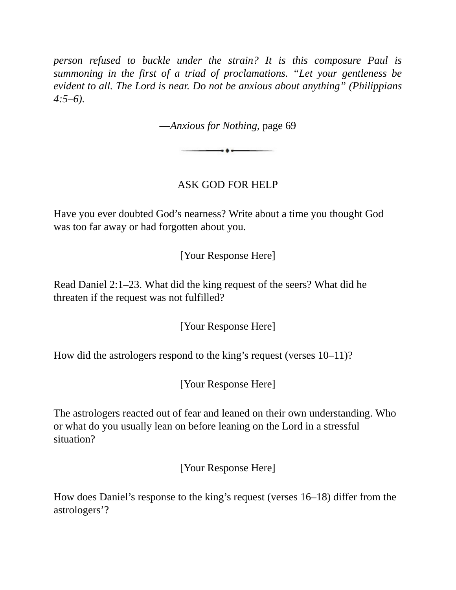*person refused to buckle under the strain? It is this composure Paul is summoning in the first of a triad of proclamations. "Let your gentleness be evident to all. The Lord is near. Do not be anxious about anything" (Philippians 4:5–6).*

—*Anxious for Nothing*, page 69

 $\longrightarrow$  .  $\longrightarrow$ 

#### ASK GOD FOR HELP

Have you ever doubted God's nearness? Write about a time you thought God was too far away or had forgotten about you.

[Your Response Here]

Read Daniel 2:1–23. What did the king request of the seers? What did he threaten if the request was not fulfilled?

[Your Response Here]

How did the astrologers respond to the king's request (verses 10–11)?

[Your Response Here]

The astrologers reacted out of fear and leaned on their own understanding. Who or what do you usually lean on before leaning on the Lord in a stressful situation?

[Your Response Here]

How does Daniel's response to the king's request (verses 16–18) differ from the astrologers'?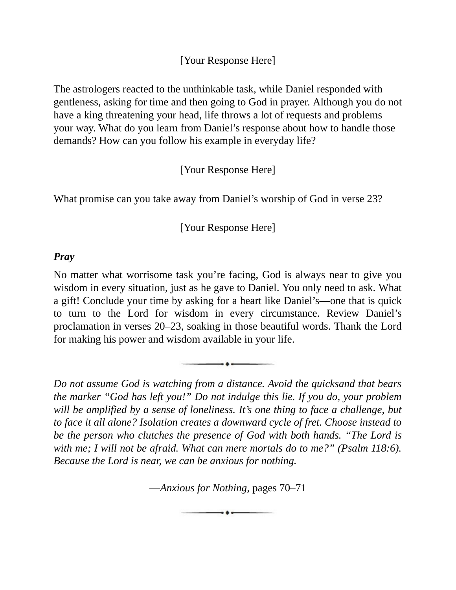[Your Response Here]

The astrologers reacted to the unthinkable task, while Daniel responded with gentleness, asking for time and then going to God in prayer. Although you do not have a king threatening your head, life throws a lot of requests and problems your way. What do you learn from Daniel's response about how to handle those demands? How can you follow his example in everyday life?

[Your Response Here]

What promise can you take away from Daniel's worship of God in verse 23?

[Your Response Here]

#### *Pray*

No matter what worrisome task you're facing, God is always near to give you wisdom in every situation, just as he gave to Daniel. You only need to ask. What a gift! Conclude your time by asking for a heart like Daniel's—one that is quick to turn to the Lord for wisdom in every circumstance. Review Daniel's proclamation in verses 20–23, soaking in those beautiful words. Thank the Lord for making his power and wisdom available in your life.

*Do not assume God is watching from a distance. Avoid the quicksand that bears the marker "God has left you!" Do not indulge this lie. If you do, your problem will be amplified by a sense of loneliness. It's one thing to face a challenge, but to face it all alone? Isolation creates a downward cycle of fret. Choose instead to be the person who clutches the presence of God with both hands. "The Lord is with me; I will not be afraid. What can mere mortals do to me?" (Psalm 118:6). Because the Lord is near, we can be anxious for nothing.*

—*Anxious for Nothing*, pages 70–71

 $\rightarrow$  +  $\rightarrow$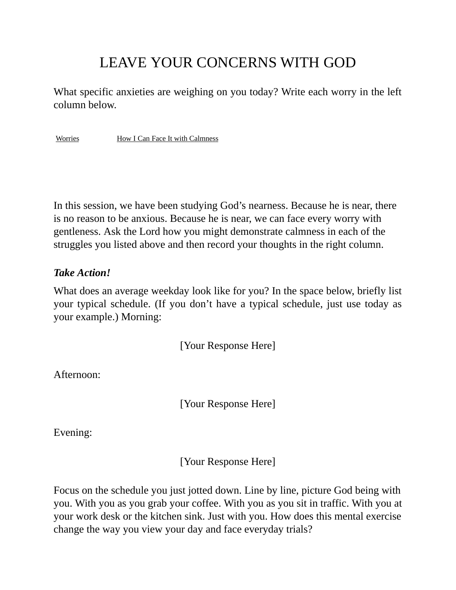## LEAVE YOUR CONCERNS WITH GOD

What specific anxieties are weighing on you today? Write each worry in the left column below.

Worries **How I Can Face It with Calmness** 

In this session, we have been studying God's nearness. Because he is near, there is no reason to be anxious. Because he is near, we can face every worry with gentleness. Ask the Lord how you might demonstrate calmness in each of the struggles you listed above and then record your thoughts in the right column.

#### *Take Action!*

What does an average weekday look like for you? In the space below, briefly list your typical schedule. (If you don't have a typical schedule, just use today as your example.) Morning:

[Your Response Here]

Afternoon:

[Your Response Here]

Evening:

[Your Response Here]

Focus on the schedule you just jotted down. Line by line, picture God being with you. With you as you grab your coffee. With you as you sit in traffic. With you at your work desk or the kitchen sink. Just with you. How does this mental exercise change the way you view your day and face everyday trials?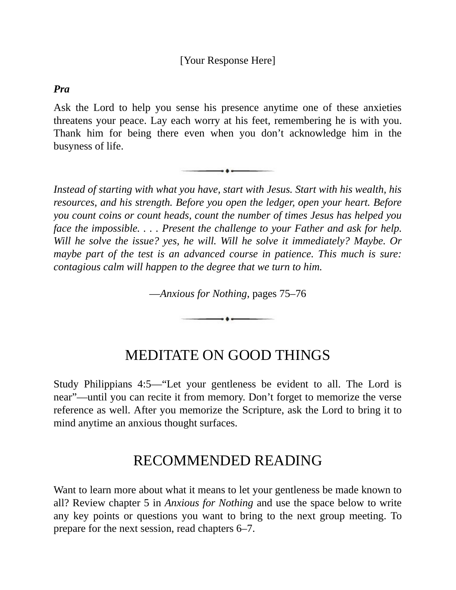#### *Pra*

Ask the Lord to help you sense his presence anytime one of these anxieties threatens your peace. Lay each worry at his feet, remembering he is with you. Thank him for being there even when you don't acknowledge him in the busyness of life.

 $\bullet$ 

*Instead of starting with what you have, start with Jesus. Start with his wealth, his resources, and his strength. Before you open the ledger, open your heart. Before you count coins or count heads, count the number of times Jesus has helped you face the impossible. . . . Present the challenge to your Father and ask for help. Will he solve the issue? yes, he will. Will he solve it immediately? Maybe. Or maybe part of the test is an advanced course in patience. This much is sure: contagious calm will happen to the degree that we turn to him.*

—*Anxious for Nothing*, pages 75–76

 $\bullet$ 

## MEDITATE ON GOOD THINGS

Study Philippians 4:5—"Let your gentleness be evident to all. The Lord is near"—until you can recite it from memory. Don't forget to memorize the verse reference as well. After you memorize the Scripture, ask the Lord to bring it to mind anytime an anxious thought surfaces.

## RECOMMENDED READING

Want to learn more about what it means to let your gentleness be made known to all? Review chapter 5 in *Anxious for Nothing* and use the space below to write any key points or questions you want to bring to the next group meeting. To prepare for the next session, read chapters 6–7.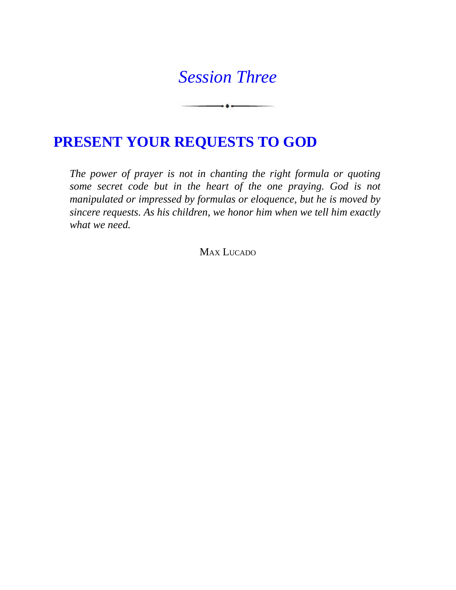## *[Session](#page-5-0) Three*

 $\overline{\phantom{a}}$ 

## **PRESENT YOUR [REQUESTS](#page-5-0) TO GOD**

*The power of prayer is not in chanting the right formula or quoting some secret code but in the heart of the one praying. God is not manipulated or impressed by formulas or eloquence, but he is moved by sincere requests. As his children, we honor him when we tell him exactly what we need.*

MAX LUCADO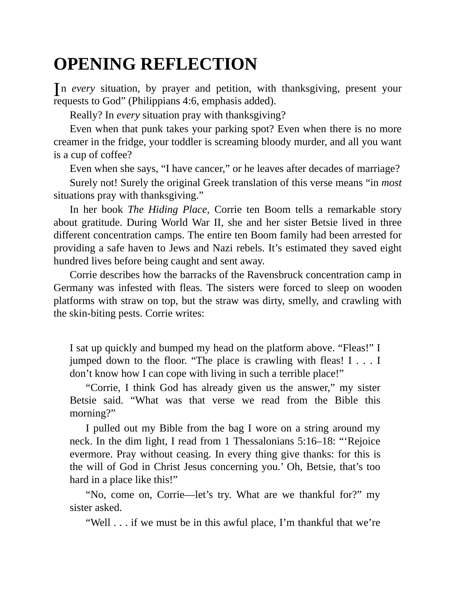# **OPENING REFLECTION**

In *every* situation, by prayer and petition, with thanksgiving, present your requests to God" (Philippians 4:6, emphasis added).

Really? In *every* situation pray with thanksgiving?

Even when that punk takes your parking spot? Even when there is no more creamer in the fridge, your toddler is screaming bloody murder, and all you want is a cup of coffee?

Even when she says, "I have cancer," or he leaves after decades of marriage?

Surely not! Surely the original Greek translation of this verse means "in *most* situations pray with thanksgiving."

In her book *The Hiding Place*, Corrie ten Boom tells a remarkable story about gratitude. During World War II, she and her sister Betsie lived in three different concentration camps. The entire ten Boom family had been arrested for providing a safe haven to Jews and Nazi rebels. It's estimated they saved eight hundred lives before being caught and sent away.

Corrie describes how the barracks of the Ravensbruck concentration camp in Germany was infested with fleas. The sisters were forced to sleep on wooden platforms with straw on top, but the straw was dirty, smelly, and crawling with the skin-biting pests. Corrie writes:

I sat up quickly and bumped my head on the platform above. "Fleas!" I jumped down to the floor. "The place is crawling with fleas! I . . . I don't know how I can cope with living in such a terrible place!"

"Corrie, I think God has already given us the answer," my sister Betsie said. "What was that verse we read from the Bible this morning?"

I pulled out my Bible from the bag I wore on a string around my neck. In the dim light, I read from 1 Thessalonians 5:16–18: "'Rejoice evermore. Pray without ceasing. In every thing give thanks: for this is the will of God in Christ Jesus concerning you.' Oh, Betsie, that's too hard in a place like this!"

"No, come on, Corrie—let's try. What are we thankful for?" my sister asked.

"Well . . . if we must be in this awful place, I'm thankful that we're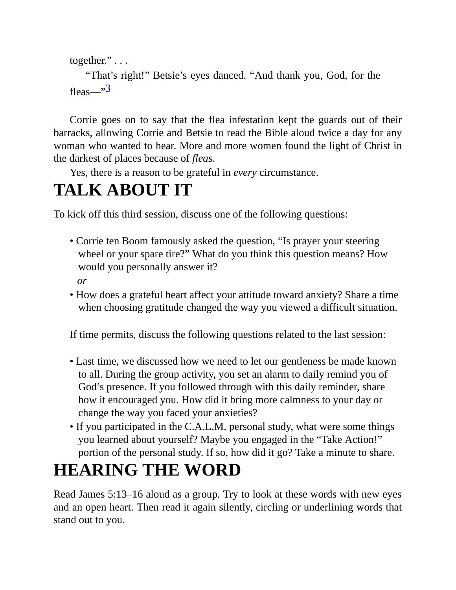together." . . .

"That's right!" Betsie's eyes danced. "And thank you, God, for the fleas—"<sup>[3](#page-96-0)</sup>

Corrie goes on to say that the flea infestation kept the guards out of their barracks, allowing Corrie and Betsie to read the Bible aloud twice a day for any woman who wanted to hear. More and more women found the light of Christ in the darkest of places because of *fleas*.

Yes, there is a reason to be grateful in *every* circumstance.

# **TALK ABOUT IT**

To kick off this third session, discuss one of the following questions:

- Corrie ten Boom famously asked the question, "Is prayer your steering wheel or your spare tire?" What do you think this question means? How would you personally answer it? *or*
- How does a grateful heart affect your attitude toward anxiety? Share a time when choosing gratitude changed the way you viewed a difficult situation.

If time permits, discuss the following questions related to the last session:

- Last time, we discussed how we need to let our gentleness be made known to all. During the group activity, you set an alarm to daily remind you of God's presence. If you followed through with this daily reminder, share how it encouraged you. How did it bring more calmness to your day or change the way you faced your anxieties?
- If you participated in the C.A.L.M. personal study, what were some things you learned about yourself? Maybe you engaged in the "Take Action!" portion of the personal study. If so, how did it go? Take a minute to share.

# **HEARING THE WORD**

Read James 5:13–16 aloud as a group. Try to look at these words with new eyes and an open heart. Then read it again silently, circling or underlining words that stand out to you.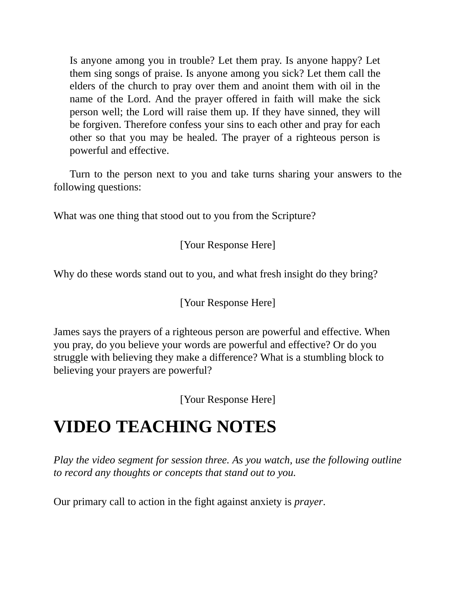Is anyone among you in trouble? Let them pray. Is anyone happy? Let them sing songs of praise. Is anyone among you sick? Let them call the elders of the church to pray over them and anoint them with oil in the name of the Lord. And the prayer offered in faith will make the sick person well; the Lord will raise them up. If they have sinned, they will be forgiven. Therefore confess your sins to each other and pray for each other so that you may be healed. The prayer of a righteous person is powerful and effective.

Turn to the person next to you and take turns sharing your answers to the following questions:

What was one thing that stood out to you from the Scripture?

[Your Response Here]

Why do these words stand out to you, and what fresh insight do they bring?

[Your Response Here]

James says the prayers of a righteous person are powerful and effective. When you pray, do you believe your words are powerful and effective? Or do you struggle with believing they make a difference? What is a stumbling block to believing your prayers are powerful?

[Your Response Here]

# **VIDEO TEACHING NOTES**

*Play the video segment for session three. As you watch, use the following outline to record any thoughts or concepts that stand out to you.*

Our primary call to action in the fight against anxiety is *prayer*.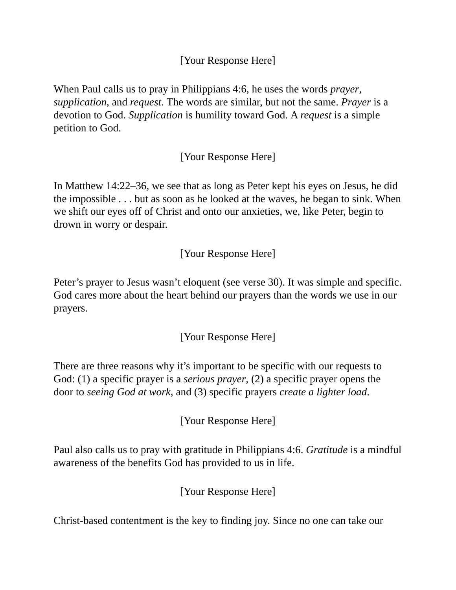[Your Response Here]

When Paul calls us to pray in Philippians 4:6, he uses the words *prayer*, *supplication*, and *request*. The words are similar, but not the same. *Prayer* is a devotion to God. *Supplication* is humility toward God. A *request* is a simple petition to God.

[Your Response Here]

In Matthew 14:22–36, we see that as long as Peter kept his eyes on Jesus, he did the impossible . . . but as soon as he looked at the waves, he began to sink. When we shift our eyes off of Christ and onto our anxieties, we, like Peter, begin to drown in worry or despair.

[Your Response Here]

Peter's prayer to Jesus wasn't eloquent (see verse 30). It was simple and specific. God cares more about the heart behind our prayers than the words we use in our prayers.

[Your Response Here]

There are three reasons why it's important to be specific with our requests to God: (1) a specific prayer is a *serious prayer*, (2) a specific prayer opens the door to *seeing God at work*, and (3) specific prayers *create a lighter load*.

[Your Response Here]

Paul also calls us to pray with gratitude in Philippians 4:6. *Gratitude* is a mindful awareness of the benefits God has provided to us in life.

[Your Response Here]

Christ-based contentment is the key to finding joy. Since no one can take our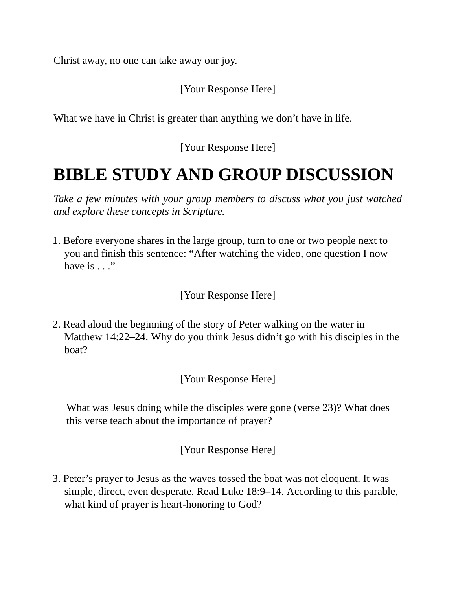Christ away, no one can take away our joy.

[Your Response Here]

What we have in Christ is greater than anything we don't have in life.

[Your Response Here]

## **BIBLE STUDY AND GROUP DISCUSSION**

*Take a few minutes with your group members to discuss what you just watched and explore these concepts in Scripture.*

1. Before everyone shares in the large group, turn to one or two people next to you and finish this sentence: "After watching the video, one question I now have is . . ."

[Your Response Here]

2. Read aloud the beginning of the story of Peter walking on the water in Matthew 14:22–24. Why do you think Jesus didn't go with his disciples in the boat?

[Your Response Here]

What was Jesus doing while the disciples were gone (verse 23)? What does this verse teach about the importance of prayer?

[Your Response Here]

3. Peter's prayer to Jesus as the waves tossed the boat was not eloquent. It was simple, direct, even desperate. Read Luke 18:9–14. According to this parable, what kind of prayer is heart-honoring to God?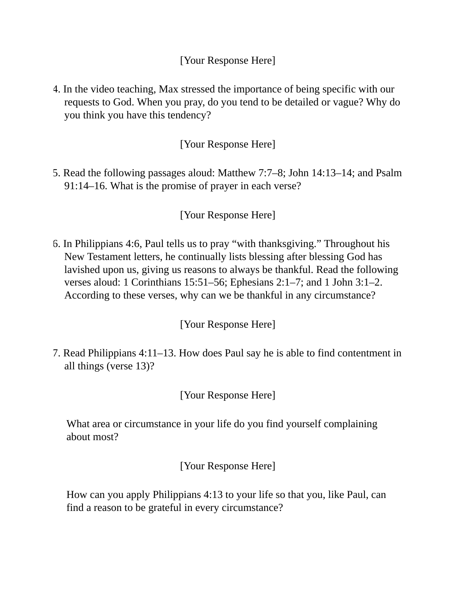#### [Your Response Here]

4. In the video teaching, Max stressed the importance of being specific with our requests to God. When you pray, do you tend to be detailed or vague? Why do you think you have this tendency?

#### [Your Response Here]

5. Read the following passages aloud: Matthew 7:7–8; John 14:13–14; and Psalm 91:14–16. What is the promise of prayer in each verse?

#### [Your Response Here]

6. In Philippians 4:6, Paul tells us to pray "with thanksgiving." Throughout his New Testament letters, he continually lists blessing after blessing God has lavished upon us, giving us reasons to always be thankful. Read the following verses aloud: 1 Corinthians 15:51–56; Ephesians 2:1–7; and 1 John 3:1–2. According to these verses, why can we be thankful in any circumstance?

[Your Response Here]

7. Read Philippians 4:11–13. How does Paul say he is able to find contentment in all things (verse 13)?

[Your Response Here]

What area or circumstance in your life do you find yourself complaining about most?

[Your Response Here]

How can you apply Philippians 4:13 to your life so that you, like Paul, can find a reason to be grateful in every circumstance?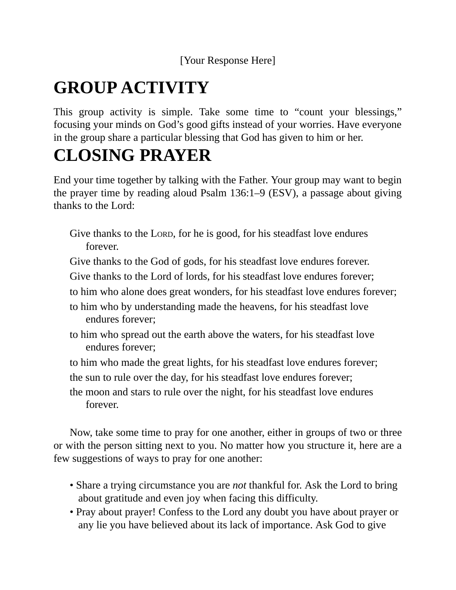[Your Response Here]

# **GROUP ACTIVITY**

This group activity is simple. Take some time to "count your blessings," focusing your minds on God's good gifts instead of your worries. Have everyone in the group share a particular blessing that God has given to him or her.

# **CLOSING PRAYER**

End your time together by talking with the Father. Your group may want to begin the prayer time by reading aloud Psalm 136:1–9 (ESV), a passage about giving thanks to the Lord:

- Give thanks to the LORD, for he is good, for his steadfast love endures forever.
- Give thanks to the God of gods, for his steadfast love endures forever.
- Give thanks to the Lord of lords, for his steadfast love endures forever;
- to him who alone does great wonders, for his steadfast love endures forever;
- to him who by understanding made the heavens, for his steadfast love endures forever;
- to him who spread out the earth above the waters, for his steadfast love endures forever;
- to him who made the great lights, for his steadfast love endures forever;
- the sun to rule over the day, for his steadfast love endures forever;
- the moon and stars to rule over the night, for his steadfast love endures forever.

Now, take some time to pray for one another, either in groups of two or three or with the person sitting next to you. No matter how you structure it, here are a few suggestions of ways to pray for one another:

- Share a trying circumstance you are *not* thankful for. Ask the Lord to bring about gratitude and even joy when facing this difficulty.
- Pray about prayer! Confess to the Lord any doubt you have about prayer or any lie you have believed about its lack of importance. Ask God to give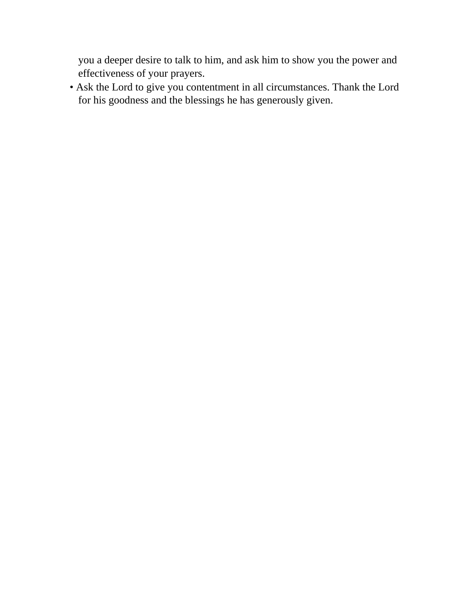you a deeper desire to talk to him, and ask him to show you the power and effectiveness of your prayers.

• Ask the Lord to give you contentment in all circumstances. Thank the Lord for his goodness and the blessings he has generously given.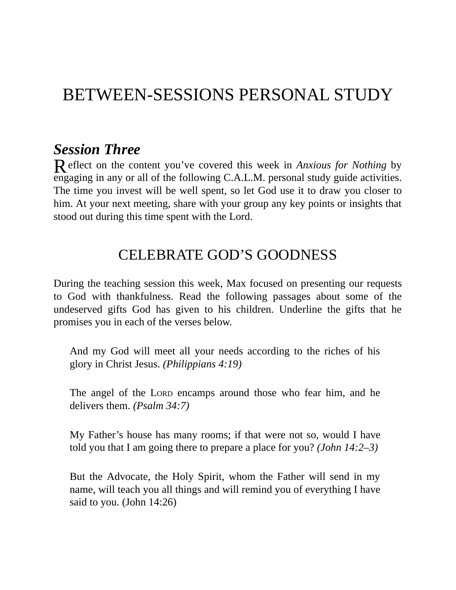# BETWEEN-SESSIONS PERSONAL STUDY

### *Session Three*

R eflect on the content you've covered this week in *Anxious for Nothing* by engaging in any or all of the following C.A.L.M. personal study guide activities. The time you invest will be well spent, so let God use it to draw you closer to him. At your next meeting, share with your group any key points or insights that stood out during this time spent with the Lord.

## CELEBRATE GOD'S GOODNESS

During the teaching session this week, Max focused on presenting our requests to God with thankfulness. Read the following passages about some of the undeserved gifts God has given to his children. Underline the gifts that he promises you in each of the verses below.

And my God will meet all your needs according to the riches of his glory in Christ Jesus. *(Philippians 4:19)*

The angel of the LORD encamps around those who fear him, and he delivers them. *(Psalm 34:7)*

My Father's house has many rooms; if that were not so, would I have told you that I am going there to prepare a place for you? *(John 14:2–3)*

But the Advocate, the Holy Spirit, whom the Father will send in my name, will teach you all things and will remind you of everything I have said to you. (John 14:26)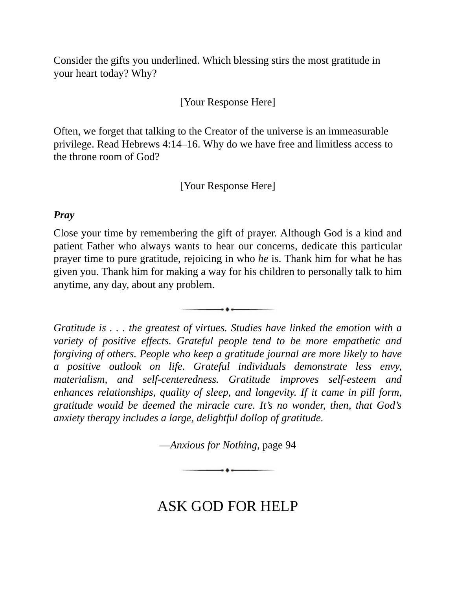Consider the gifts you underlined. Which blessing stirs the most gratitude in your heart today? Why?

#### [Your Response Here]

Often, we forget that talking to the Creator of the universe is an immeasurable privilege. Read Hebrews 4:14–16. Why do we have free and limitless access to the throne room of God?

[Your Response Here]

#### *Pray*

Close your time by remembering the gift of prayer. Although God is a kind and patient Father who always wants to hear our concerns, dedicate this particular prayer time to pure gratitude, rejoicing in who *he* is. Thank him for what he has given you. Thank him for making a way for his children to personally talk to him anytime, any day, about any problem.

 $\bullet$ 

*Gratitude is . . . the greatest of virtues. Studies have linked the emotion with a variety of positive effects. Grateful people tend to be more empathetic and forgiving of others. People who keep a gratitude journal are more likely to have a positive outlook on life. Grateful individuals demonstrate less envy, materialism, and self-centeredness. Gratitude improves self-esteem and enhances relationships, quality of sleep, and longevity. If it came in pill form, gratitude would be deemed the miracle cure. It's no wonder, then, that God's anxiety therapy includes a large, delightful dollop of gratitude.*

—*Anxious for Nothing*, page 94

 $\longrightarrow$ 

ASK GOD FOR HELP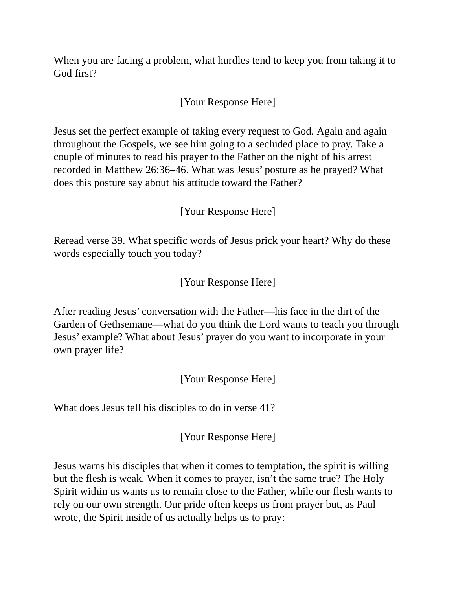When you are facing a problem, what hurdles tend to keep you from taking it to God first?

#### [Your Response Here]

Jesus set the perfect example of taking every request to God. Again and again throughout the Gospels, we see him going to a secluded place to pray. Take a couple of minutes to read his prayer to the Father on the night of his arrest recorded in Matthew 26:36–46. What was Jesus' posture as he prayed? What does this posture say about his attitude toward the Father?

[Your Response Here]

Reread verse 39. What specific words of Jesus prick your heart? Why do these words especially touch you today?

[Your Response Here]

After reading Jesus' conversation with the Father—his face in the dirt of the Garden of Gethsemane—what do you think the Lord wants to teach you through Jesus' example? What about Jesus' prayer do you want to incorporate in your own prayer life?

[Your Response Here]

What does Jesus tell his disciples to do in verse 41?

[Your Response Here]

Jesus warns his disciples that when it comes to temptation, the spirit is willing but the flesh is weak. When it comes to prayer, isn't the same true? The Holy Spirit within us wants us to remain close to the Father, while our flesh wants to rely on our own strength. Our pride often keeps us from prayer but, as Paul wrote, the Spirit inside of us actually helps us to pray: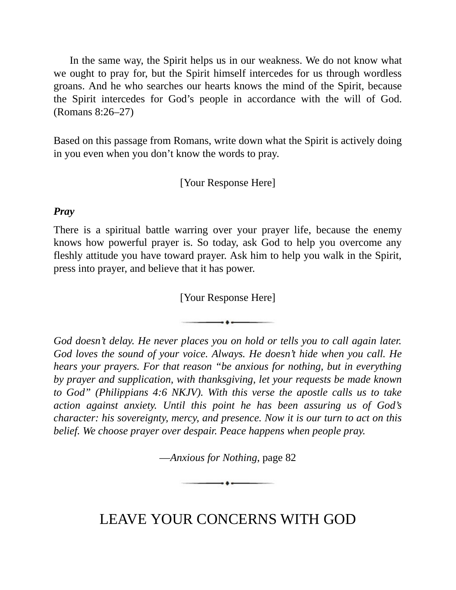In the same way, the Spirit helps us in our weakness. We do not know what we ought to pray for, but the Spirit himself intercedes for us through wordless groans. And he who searches our hearts knows the mind of the Spirit, because the Spirit intercedes for God's people in accordance with the will of God. (Romans 8:26–27)

Based on this passage from Romans, write down what the Spirit is actively doing in you even when you don't know the words to pray.

[Your Response Here]

#### *Pray*

There is a spiritual battle warring over your prayer life, because the enemy knows how powerful prayer is. So today, ask God to help you overcome any fleshly attitude you have toward prayer. Ask him to help you walk in the Spirit, press into prayer, and believe that it has power.

[Your Response Here]

*God doesn't delay. He never places you on hold or tells you to call again later. God loves the sound of your voice. Always. He doesn't hide when you call. He hears your prayers. For that reason "be anxious for nothing, but in everything by prayer and supplication, with thanksgiving, let your requests be made known to God" (Philippians 4:6 NKJV). With this verse the apostle calls us to take action against anxiety. Until this point he has been assuring us of God's character: his sovereignty, mercy, and presence. Now it is our turn to act on this belief. We choose prayer over despair. Peace happens when people pray.*

—*Anxious for Nothing*, page 82

 $\longrightarrow \cdots$ 

LEAVE YOUR CONCERNS WITH GOD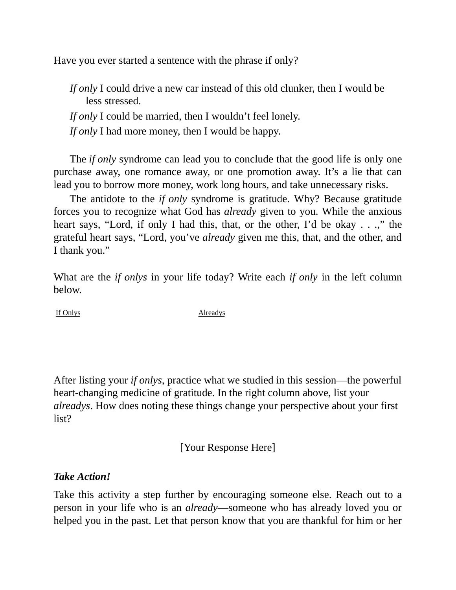Have you ever started a sentence with the phrase if only?

*If only* I could drive a new car instead of this old clunker, then I would be less stressed.

*If only* I could be married, then I wouldn't feel lonely.

*If only* I had more money, then I would be happy.

The *if only* syndrome can lead you to conclude that the good life is only one purchase away, one romance away, or one promotion away. It's a lie that can lead you to borrow more money, work long hours, and take unnecessary risks.

The antidote to the *if only* syndrome is gratitude. Why? Because gratitude forces you to recognize what God has *already* given to you. While the anxious heart says, "Lord, if only I had this, that, or the other, I'd be okay . . .," the grateful heart says, "Lord, you've *already* given me this, that, and the other, and I thank you."

What are the *if onlys* in your life today? Write each *if only* in the left column below.

If Onlys Alreadys

After listing your *if onlys*, practice what we studied in this session—the powerful heart-changing medicine of gratitude. In the right column above, list your *alreadys*. How does noting these things change your perspective about your first list?

[Your Response Here]

#### *Take Action!*

Take this activity a step further by encouraging someone else. Reach out to a person in your life who is an *already*—someone who has already loved you or helped you in the past. Let that person know that you are thankful for him or her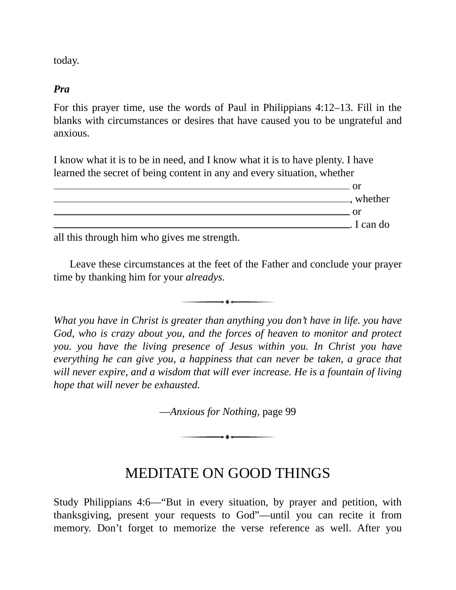today.

#### *Pra*

For this prayer time, use the words of Paul in Philippians 4:12–13. Fill in the blanks with circumstances or desires that have caused you to be ungrateful and anxious.

I know what it is to be in need, and I know what it is to have plenty. I have learned the secret of being content in any and every situation, whether



all this through him who gives me strength.

Leave these circumstances at the feet of the Father and conclude your prayer time by thanking him for your *alreadys*.

 $\rightarrow$  +  $\rightarrow$ 

*What you have in Christ is greater than anything you don't have in life. you have God, who is crazy about you, and the forces of heaven to monitor and protect you. you have the living presence of Jesus within you. In Christ you have everything he can give you, a happiness that can never be taken, a grace that will never expire, and a wisdom that will ever increase. He is a fountain of living hope that will never be exhausted.*

—*Anxious for Nothing*, page 99

 $\longrightarrow \bullet$ 

## MEDITATE ON GOOD THINGS

Study Philippians 4:6—"But in every situation, by prayer and petition, with thanksgiving, present your requests to God"—until you can recite it from memory. Don't forget to memorize the verse reference as well. After you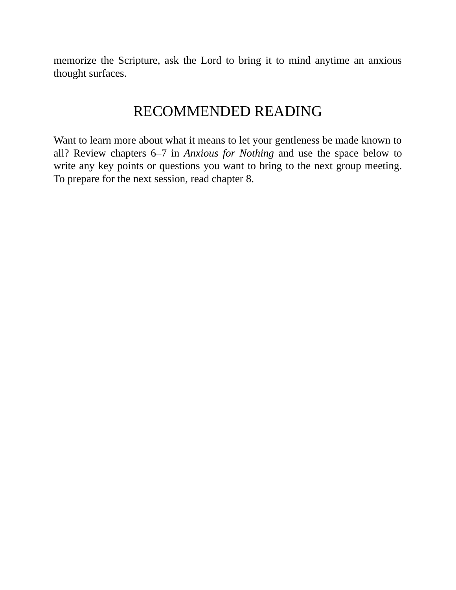memorize the Scripture, ask the Lord to bring it to mind anytime an anxious thought surfaces.

### RECOMMENDED READING

Want to learn more about what it means to let your gentleness be made known to all? Review chapters 6–7 in *Anxious for Nothing* and use the space below to write any key points or questions you want to bring to the next group meeting. To prepare for the next session, read chapter 8.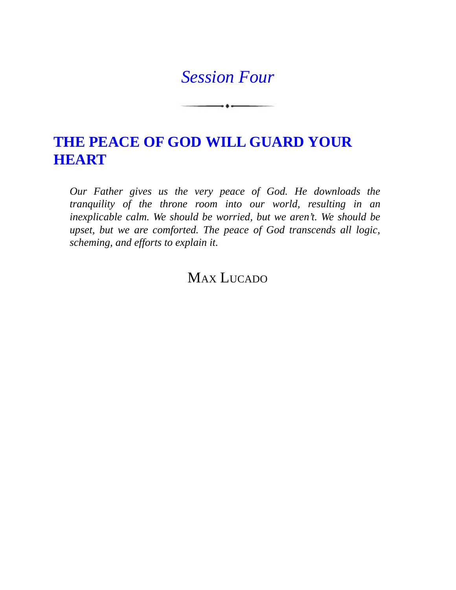## *[Session](#page-5-1) Four*

 $\overline{\phantom{a}}$ 

## **THE PEACE OF GOD WILL [GUARD](#page-5-2) YOUR HEART**

*Our Father gives us the very peace of God. He downloads the tranquility of the throne room into our world, resulting in an inexplicable calm. We should be worried, but we aren't. We should be upset, but we are comforted. The peace of God transcends all logic, scheming, and efforts to explain it.*

### MAX LUCADO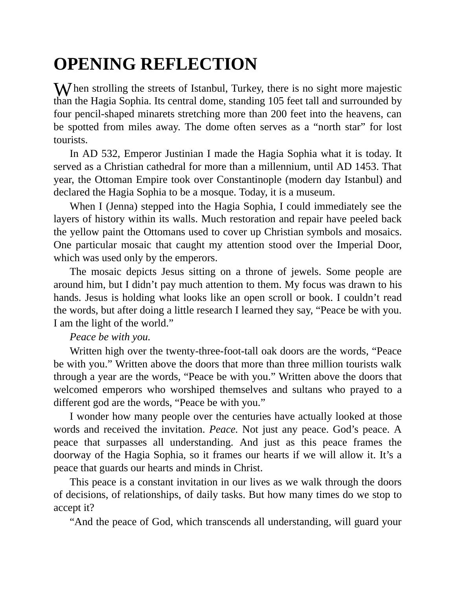# **OPENING REFLECTION**

When strolling the streets of Istanbul, Turkey, there is no sight more majestic<br>than the Usaja Sophia. Its control dome standing 105 feet tall and surrounded by than the Hagia Sophia. Its central dome, standing 105 feet tall and surrounded by four pencil-shaped minarets stretching more than 200 feet into the heavens, can be spotted from miles away. The dome often serves as a "north star" for lost tourists.

In AD 532, Emperor Justinian I made the Hagia Sophia what it is today. It served as a Christian cathedral for more than a millennium, until AD 1453. That year, the Ottoman Empire took over Constantinople (modern day Istanbul) and declared the Hagia Sophia to be a mosque. Today, it is a museum.

When I (Jenna) stepped into the Hagia Sophia, I could immediately see the layers of history within its walls. Much restoration and repair have peeled back the yellow paint the Ottomans used to cover up Christian symbols and mosaics. One particular mosaic that caught my attention stood over the Imperial Door, which was used only by the emperors.

The mosaic depicts Jesus sitting on a throne of jewels. Some people are around him, but I didn't pay much attention to them. My focus was drawn to his hands. Jesus is holding what looks like an open scroll or book. I couldn't read the words, but after doing a little research I learned they say, "Peace be with you. I am the light of the world."

*Peace be with you.*

Written high over the twenty-three-foot-tall oak doors are the words, "Peace be with you." Written above the doors that more than three million tourists walk through a year are the words, "Peace be with you." Written above the doors that welcomed emperors who worshiped themselves and sultans who prayed to a different god are the words, "Peace be with you."

I wonder how many people over the centuries have actually looked at those words and received the invitation. *Peace.* Not just any peace. God's peace. A peace that surpasses all understanding. And just as this peace frames the doorway of the Hagia Sophia, so it frames our hearts if we will allow it. It's a peace that guards our hearts and minds in Christ.

This peace is a constant invitation in our lives as we walk through the doors of decisions, of relationships, of daily tasks. But how many times do we stop to accept it?

"And the peace of God, which transcends all understanding, will guard your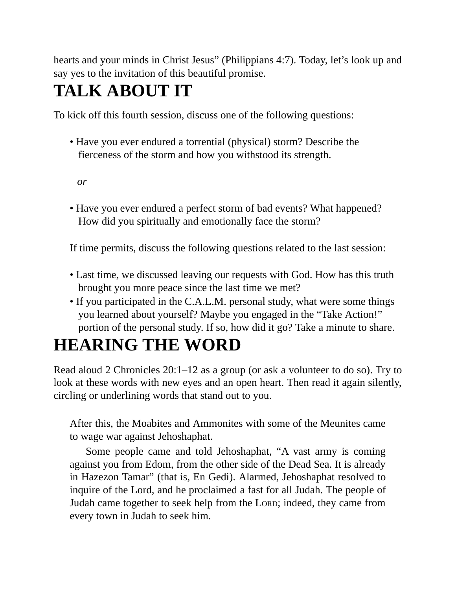hearts and your minds in Christ Jesus" (Philippians 4:7). Today, let's look up and say yes to the invitation of this beautiful promise.

# **TALK ABOUT IT**

To kick off this fourth session, discuss one of the following questions:

• Have you ever endured a torrential (physical) storm? Describe the fierceness of the storm and how you withstood its strength.

*or*

• Have you ever endured a perfect storm of bad events? What happened? How did you spiritually and emotionally face the storm?

If time permits, discuss the following questions related to the last session:

- Last time, we discussed leaving our requests with God. How has this truth brought you more peace since the last time we met?
- If you participated in the C.A.L.M. personal study, what were some things you learned about yourself? Maybe you engaged in the "Take Action!" portion of the personal study. If so, how did it go? Take a minute to share.

# **HEARING THE WORD**

Read aloud 2 Chronicles 20:1–12 as a group (or ask a volunteer to do so). Try to look at these words with new eyes and an open heart. Then read it again silently, circling or underlining words that stand out to you.

After this, the Moabites and Ammonites with some of the Meunites came to wage war against Jehoshaphat.

Some people came and told Jehoshaphat, "A vast army is coming against you from Edom, from the other side of the Dead Sea. It is already in Hazezon Tamar" (that is, En Gedi). Alarmed, Jehoshaphat resolved to inquire of the Lord, and he proclaimed a fast for all Judah. The people of Judah came together to seek help from the LORD; indeed, they came from every town in Judah to seek him.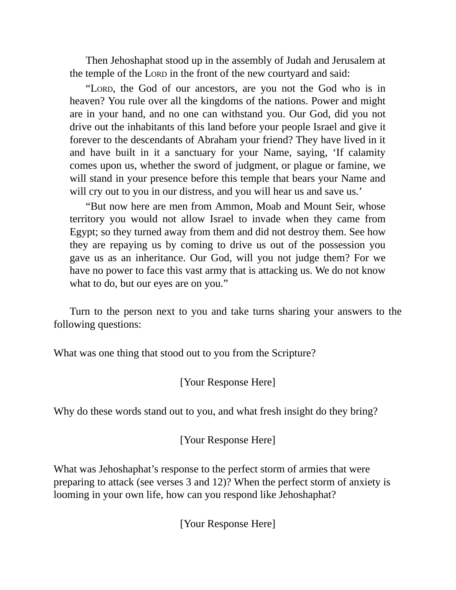Then Jehoshaphat stood up in the assembly of Judah and Jerusalem at the temple of the LORD in the front of the new courtyard and said:

"LORD, the God of our ancestors, are you not the God who is in heaven? You rule over all the kingdoms of the nations. Power and might are in your hand, and no one can withstand you. Our God, did you not drive out the inhabitants of this land before your people Israel and give it forever to the descendants of Abraham your friend? They have lived in it and have built in it a sanctuary for your Name, saying, 'If calamity comes upon us, whether the sword of judgment, or plague or famine, we will stand in your presence before this temple that bears your Name and will cry out to you in our distress, and you will hear us and save us.'

"But now here are men from Ammon, Moab and Mount Seir, whose territory you would not allow Israel to invade when they came from Egypt; so they turned away from them and did not destroy them. See how they are repaying us by coming to drive us out of the possession you gave us as an inheritance. Our God, will you not judge them? For we have no power to face this vast army that is attacking us. We do not know what to do, but our eyes are on you."

Turn to the person next to you and take turns sharing your answers to the following questions:

What was one thing that stood out to you from the Scripture?

[Your Response Here]

Why do these words stand out to you, and what fresh insight do they bring?

[Your Response Here]

What was Jehoshaphat's response to the perfect storm of armies that were preparing to attack (see verses 3 and 12)? When the perfect storm of anxiety is looming in your own life, how can you respond like Jehoshaphat?

[Your Response Here]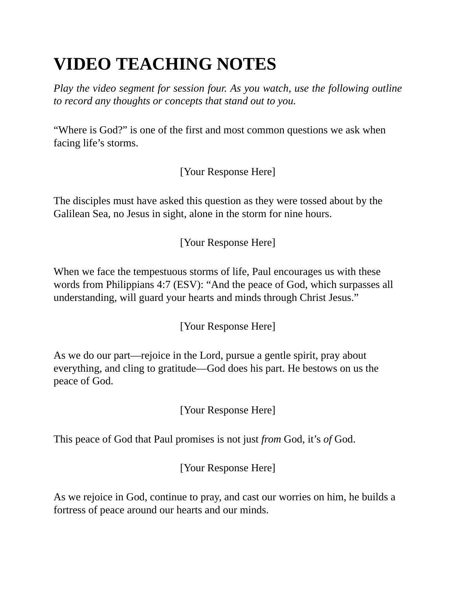# **VIDEO TEACHING NOTES**

*Play the video segment for session four. As you watch, use the following outline to record any thoughts or concepts that stand out to you.*

"Where is God?" is one of the first and most common questions we ask when facing life's storms.

[Your Response Here]

The disciples must have asked this question as they were tossed about by the Galilean Sea, no Jesus in sight, alone in the storm for nine hours.

[Your Response Here]

When we face the tempestuous storms of life, Paul encourages us with these words from Philippians 4:7 (ESV): "And the peace of God, which surpasses all understanding, will guard your hearts and minds through Christ Jesus."

[Your Response Here]

As we do our part—rejoice in the Lord, pursue a gentle spirit, pray about everything, and cling to gratitude—God does his part. He bestows on us the peace of God.

[Your Response Here]

This peace of God that Paul promises is not just *from* God, it's *of* God.

[Your Response Here]

As we rejoice in God, continue to pray, and cast our worries on him, he builds a fortress of peace around our hearts and our minds.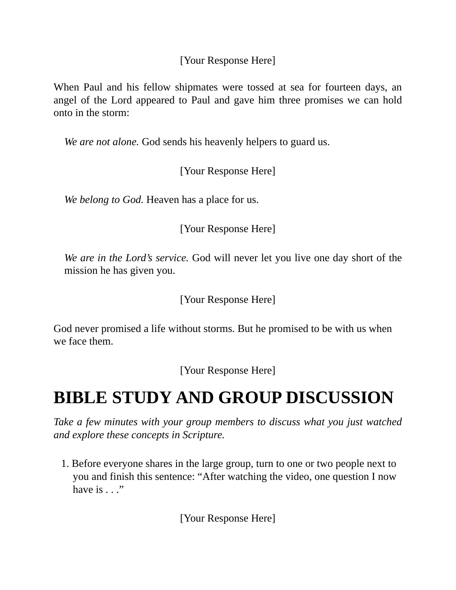[Your Response Here]

When Paul and his fellow shipmates were tossed at sea for fourteen days, an angel of the Lord appeared to Paul and gave him three promises we can hold onto in the storm:

*We are not alone.* God sends his heavenly helpers to guard us.

[Your Response Here]

*We belong to God.* Heaven has a place for us.

[Your Response Here]

*We are in the Lord's service.* God will never let you live one day short of the mission he has given you.

[Your Response Here]

God never promised a life without storms. But he promised to be with us when we face them.

[Your Response Here]

# **BIBLE STUDY AND GROUP DISCUSSION**

*Take a few minutes with your group members to discuss what you just watched and explore these concepts in Scripture.*

1. Before everyone shares in the large group, turn to one or two people next to you and finish this sentence: "After watching the video, one question I now have is  $\ldots$ "

[Your Response Here]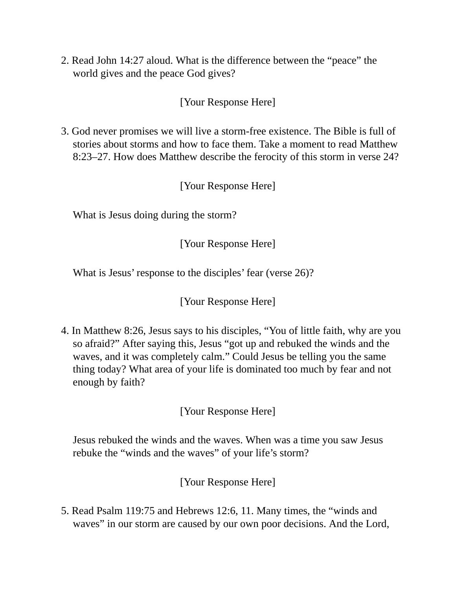2. Read John 14:27 aloud. What is the difference between the "peace" the world gives and the peace God gives?

#### [Your Response Here]

3. God never promises we will live a storm-free existence. The Bible is full of stories about storms and how to face them. Take a moment to read Matthew 8:23–27. How does Matthew describe the ferocity of this storm in verse 24?

#### [Your Response Here]

What is Jesus doing during the storm?

[Your Response Here]

What is Jesus' response to the disciples' fear (verse 26)?

[Your Response Here]

4. In Matthew 8:26, Jesus says to his disciples, "You of little faith, why are you so afraid?" After saying this, Jesus "got up and rebuked the winds and the waves, and it was completely calm." Could Jesus be telling you the same thing today? What area of your life is dominated too much by fear and not enough by faith?

[Your Response Here]

Jesus rebuked the winds and the waves. When was a time you saw Jesus rebuke the "winds and the waves" of your life's storm?

[Your Response Here]

5. Read Psalm 119:75 and Hebrews 12:6, 11. Many times, the "winds and waves" in our storm are caused by our own poor decisions. And the Lord,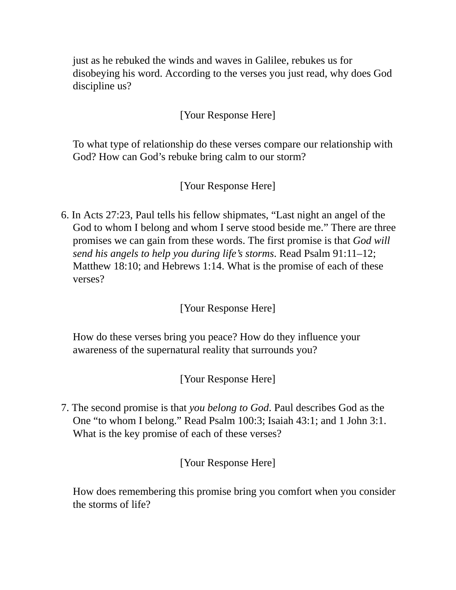just as he rebuked the winds and waves in Galilee, rebukes us for disobeying his word. According to the verses you just read, why does God discipline us?

#### [Your Response Here]

To what type of relationship do these verses compare our relationship with God? How can God's rebuke bring calm to our storm?

#### [Your Response Here]

6. In Acts 27:23, Paul tells his fellow shipmates, "Last night an angel of the God to whom I belong and whom I serve stood beside me." There are three promises we can gain from these words. The first promise is that *God will send his angels to help you during life's storms*. Read Psalm 91:11–12; Matthew 18:10; and Hebrews 1:14. What is the promise of each of these verses?

[Your Response Here]

How do these verses bring you peace? How do they influence your awareness of the supernatural reality that surrounds you?

[Your Response Here]

7. The second promise is that *you belong to God*. Paul describes God as the One "to whom I belong." Read Psalm 100:3; Isaiah 43:1; and 1 John 3:1. What is the key promise of each of these verses?

[Your Response Here]

How does remembering this promise bring you comfort when you consider the storms of life?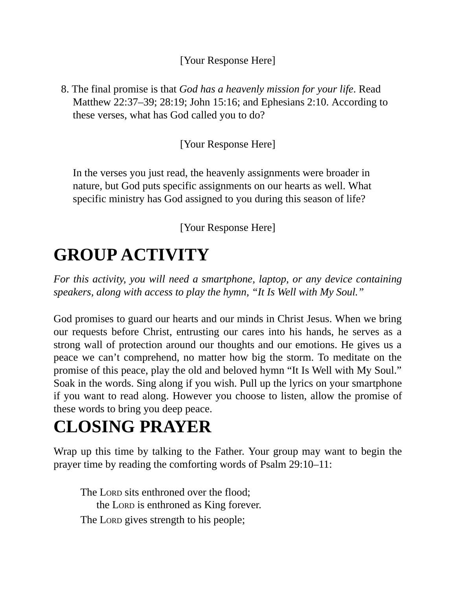[Your Response Here]

8. The final promise is that *God has a heavenly mission for your life*. Read Matthew 22:37–39; 28:19; John 15:16; and Ephesians 2:10. According to these verses, what has God called you to do?

[Your Response Here]

In the verses you just read, the heavenly assignments were broader in nature, but God puts specific assignments on our hearts as well. What specific ministry has God assigned to you during this season of life?

[Your Response Here]

# **GROUP ACTIVITY**

*For this activity, you will need a smartphone, laptop, or any device containing speakers, along with access to play the hymn, "It Is Well with My Soul."*

God promises to guard our hearts and our minds in Christ Jesus. When we bring our requests before Christ, entrusting our cares into his hands, he serves as a strong wall of protection around our thoughts and our emotions. He gives us a peace we can't comprehend, no matter how big the storm. To meditate on the promise of this peace, play the old and beloved hymn "It Is Well with My Soul." Soak in the words. Sing along if you wish. Pull up the lyrics on your smartphone if you want to read along. However you choose to listen, allow the promise of these words to bring you deep peace.

# **CLOSING PRAYER**

Wrap up this time by talking to the Father. Your group may want to begin the prayer time by reading the comforting words of Psalm 29:10–11:

The LORD sits enthroned over the flood; the LORD is enthroned as King forever. The LORD gives strength to his people;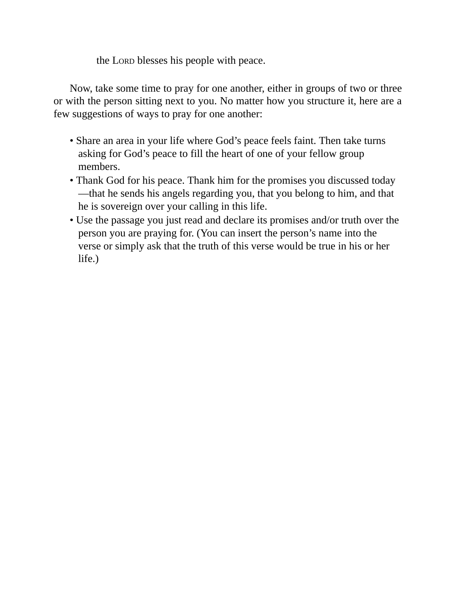the LORD blesses his people with peace.

Now, take some time to pray for one another, either in groups of two or three or with the person sitting next to you. No matter how you structure it, here are a few suggestions of ways to pray for one another:

- Share an area in your life where God's peace feels faint. Then take turns asking for God's peace to fill the heart of one of your fellow group members.
- Thank God for his peace. Thank him for the promises you discussed today —that he sends his angels regarding you, that you belong to him, and that he is sovereign over your calling in this life.
- Use the passage you just read and declare its promises and/or truth over the person you are praying for. (You can insert the person's name into the verse or simply ask that the truth of this verse would be true in his or her life.)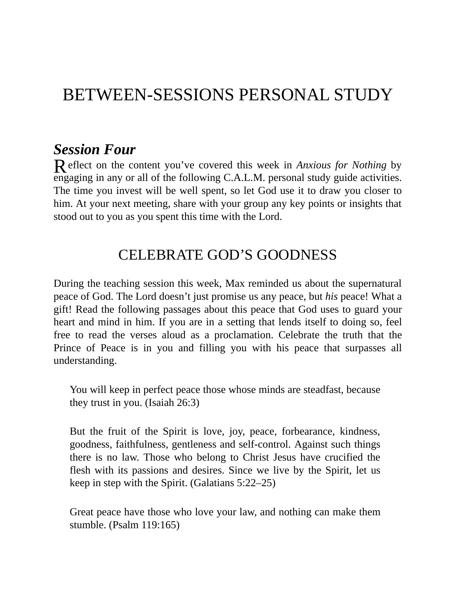# BETWEEN-SESSIONS PERSONAL STUDY

### *Session Four*

R eflect on the content you've covered this week in *Anxious for Nothing* by engaging in any or all of the following C.A.L.M. personal study guide activities. The time you invest will be well spent, so let God use it to draw you closer to him. At your next meeting, share with your group any key points or insights that stood out to you as you spent this time with the Lord.

## CELEBRATE GOD'S GOODNESS

During the teaching session this week, Max reminded us about the supernatural peace of God. The Lord doesn't just promise us any peace, but *his* peace! What a gift! Read the following passages about this peace that God uses to guard your heart and mind in him. If you are in a setting that lends itself to doing so, feel free to read the verses aloud as a proclamation. Celebrate the truth that the Prince of Peace is in you and filling you with his peace that surpasses all understanding.

You will keep in perfect peace those whose minds are steadfast, because they trust in you. (Isaiah 26:3)

But the fruit of the Spirit is love, joy, peace, forbearance, kindness, goodness, faithfulness, gentleness and self-control. Against such things there is no law. Those who belong to Christ Jesus have crucified the flesh with its passions and desires. Since we live by the Spirit, let us keep in step with the Spirit. (Galatians 5:22–25)

Great peace have those who love your law, and nothing can make them stumble. (Psalm 119:165)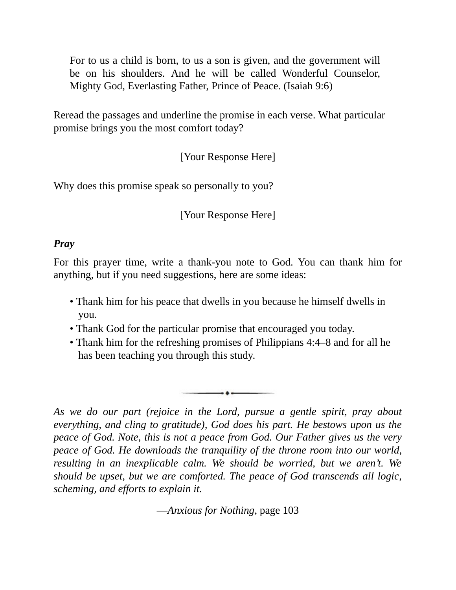For to us a child is born, to us a son is given, and the government will be on his shoulders. And he will be called Wonderful Counselor, Mighty God, Everlasting Father, Prince of Peace. (Isaiah 9:6)

Reread the passages and underline the promise in each verse. What particular promise brings you the most comfort today?

[Your Response Here]

Why does this promise speak so personally to you?

[Your Response Here]

#### *Pray*

For this prayer time, write a thank-you note to God. You can thank him for anything, but if you need suggestions, here are some ideas:

- Thank him for his peace that dwells in you because he himself dwells in you.
- Thank God for the particular promise that encouraged you today.
- Thank him for the refreshing promises of Philippians 4:4–8 and for all he has been teaching you through this study.

*As we do our part (rejoice in the Lord, pursue a gentle spirit, pray about everything, and cling to gratitude), God does his part. He bestows upon us the peace of God. Note, this is not a peace from God. Our Father gives us the very peace of God. He downloads the tranquility of the throne room into our world, resulting in an inexplicable calm. We should be worried, but we aren't. We should be upset, but we are comforted. The peace of God transcends all logic, scheming, and efforts to explain it.*

—*Anxious for Nothing*, page 103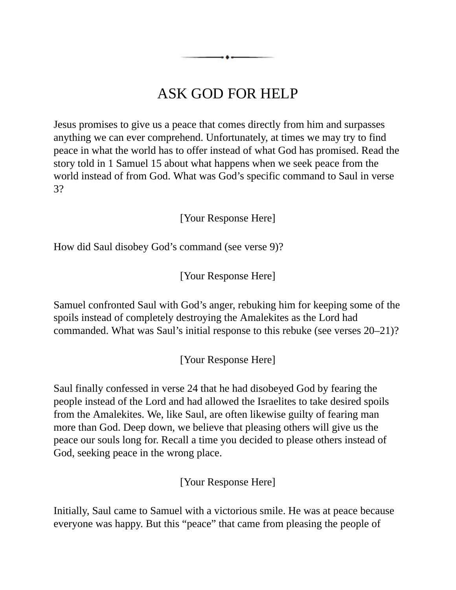## ASK GOD FOR HELP

Jesus promises to give us a peace that comes directly from him and surpasses anything we can ever comprehend. Unfortunately, at times we may try to find peace in what the world has to offer instead of what God has promised. Read the story told in 1 Samuel 15 about what happens when we seek peace from the world instead of from God. What was God's specific command to Saul in verse 3?

[Your Response Here]

How did Saul disobey God's command (see verse 9)?

[Your Response Here]

Samuel confronted Saul with God's anger, rebuking him for keeping some of the spoils instead of completely destroying the Amalekites as the Lord had commanded. What was Saul's initial response to this rebuke (see verses 20–21)?

[Your Response Here]

Saul finally confessed in verse 24 that he had disobeyed God by fearing the people instead of the Lord and had allowed the Israelites to take desired spoils from the Amalekites. We, like Saul, are often likewise guilty of fearing man more than God. Deep down, we believe that pleasing others will give us the peace our souls long for. Recall a time you decided to please others instead of God, seeking peace in the wrong place.

[Your Response Here]

Initially, Saul came to Samuel with a victorious smile. He was at peace because everyone was happy. But this "peace" that came from pleasing the people of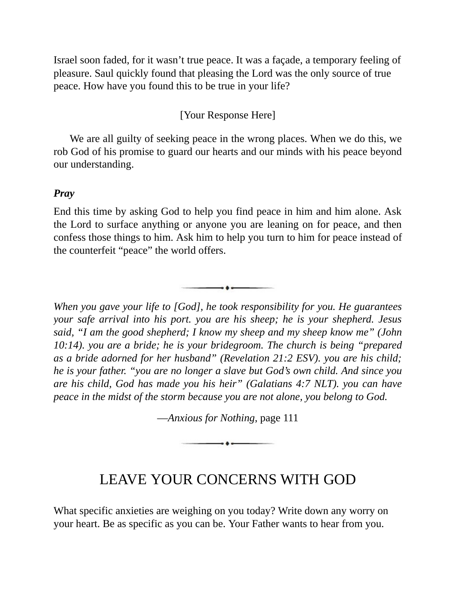Israel soon faded, for it wasn't true peace. It was a façade, a temporary feeling of pleasure. Saul quickly found that pleasing the Lord was the only source of true peace. How have you found this to be true in your life?

[Your Response Here]

We are all guilty of seeking peace in the wrong places. When we do this, we rob God of his promise to guard our hearts and our minds with his peace beyond our understanding.

#### *Pray*

End this time by asking God to help you find peace in him and him alone. Ask the Lord to surface anything or anyone you are leaning on for peace, and then confess those things to him. Ask him to help you turn to him for peace instead of the counterfeit "peace" the world offers.

*When you gave your life to [God], he took responsibility for you. He guarantees your safe arrival into his port. you are his sheep; he is your shepherd. Jesus said, "I am the good shepherd; I know my sheep and my sheep know me" (John 10:14). you are a bride; he is your bridegroom. The church is being "prepared as a bride adorned for her husband" (Revelation 21:2 ESV). you are his child; he is your father. "you are no longer a slave but God's own child. And since you are his child, God has made you his heir" (Galatians 4:7 NLT). you can have peace in the midst of the storm because you are not alone, you belong to God.*

—*Anxious for Nothing*, page 111

 $\bullet$ 

LEAVE YOUR CONCERNS WITH GOD

What specific anxieties are weighing on you today? Write down any worry on your heart. Be as specific as you can be. Your Father wants to hear from you.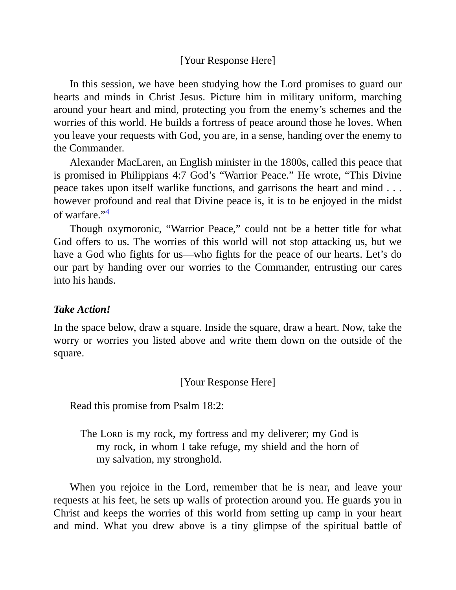#### [Your Response Here]

In this session, we have been studying how the Lord promises to guard our hearts and minds in Christ Jesus. Picture him in military uniform, marching around your heart and mind, protecting you from the enemy's schemes and the worries of this world. He builds a fortress of peace around those he loves. When you leave your requests with God, you are, in a sense, handing over the enemy to the Commander.

Alexander MacLaren, an English minister in the 1800s, called this peace that is promised in Philippians 4:7 God's "Warrior Peace." He wrote, "This Divine peace takes upon itself warlike functions, and garrisons the heart and mind . . . however profound and real that Divine peace is, it is to be enjoyed in the midst of warfare." [4](#page-96-0)

Though oxymoronic, "Warrior Peace," could not be a better title for what God offers to us. The worries of this world will not stop attacking us, but we have a God who fights for us—who fights for the peace of our hearts. Let's do our part by handing over our worries to the Commander, entrusting our cares into his hands.

#### *Take Action!*

In the space below, draw a square. Inside the square, draw a heart. Now, take the worry or worries you listed above and write them down on the outside of the square.

[Your Response Here]

Read this promise from Psalm 18:2:

The LORD is my rock, my fortress and my deliverer; my God is my rock, in whom I take refuge, my shield and the horn of my salvation, my stronghold.

When you rejoice in the Lord, remember that he is near, and leave your requests at his feet, he sets up walls of protection around you. He guards you in Christ and keeps the worries of this world from setting up camp in your heart and mind. What you drew above is a tiny glimpse of the spiritual battle of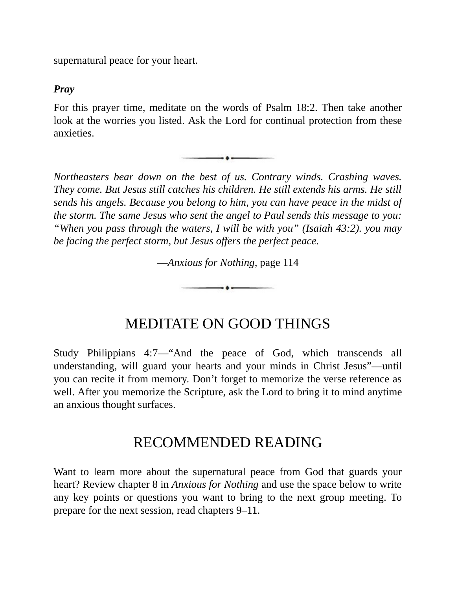supernatural peace for your heart.

#### *Pray*

For this prayer time, meditate on the words of Psalm 18:2. Then take another look at the worries you listed. Ask the Lord for continual protection from these anxieties.

 $...$ 

*Northeasters bear down on the best of us. Contrary winds. Crashing waves. They come. But Jesus still catches his children. He still extends his arms. He still sends his angels. Because you belong to him, you can have peace in the midst of the storm. The same Jesus who sent the angel to Paul sends this message to you: "When you pass through the waters, I will be with you" (Isaiah 43:2). you may be facing the perfect storm, but Jesus offers the perfect peace.*

—*Anxious for Nothing*, page 114

 $\overline{\cdots}$ 

# MEDITATE ON GOOD THINGS

Study Philippians 4:7—"And the peace of God, which transcends all understanding, will guard your hearts and your minds in Christ Jesus"—until you can recite it from memory. Don't forget to memorize the verse reference as well. After you memorize the Scripture, ask the Lord to bring it to mind anytime an anxious thought surfaces.

## RECOMMENDED READING

Want to learn more about the supernatural peace from God that guards your heart? Review chapter 8 in *Anxious for Nothing* and use the space below to write any key points or questions you want to bring to the next group meeting. To prepare for the next session, read chapters 9–11.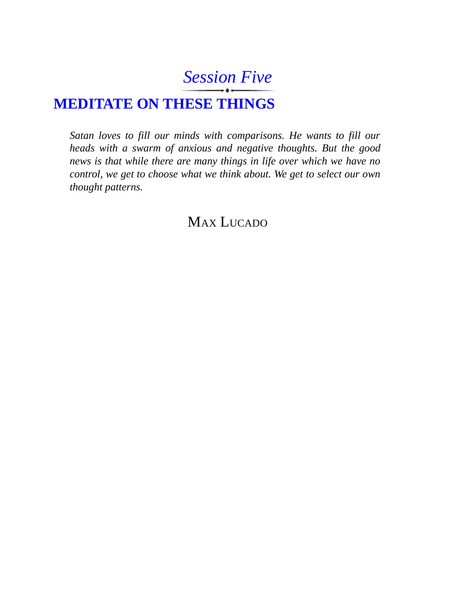*[Session](#page-5-0) Five*

## **[MEDITATE](#page-5-0) ON THESE THINGS**

*Satan loves to fill our minds with comparisons. He wants to fill our heads with a swarm of anxious and negative thoughts. But the good news is that while there are many things in life over which we have no control, we get to choose what we think about. We get to select our own thought patterns.*

### MAX LUCADO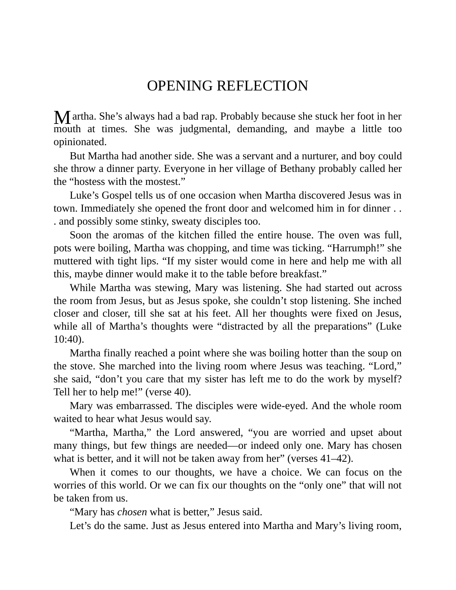## OPENING REFLECTION

M artha. She's always had a bad rap. Probably because she stuck her foot in her mouth at times. She was judgmental, demanding, and maybe a little too opinionated.

But Martha had another side. She was a servant and a nurturer, and boy could she throw a dinner party. Everyone in her village of Bethany probably called her the "hostess with the mostest."

Luke's Gospel tells us of one occasion when Martha discovered Jesus was in town. Immediately she opened the front door and welcomed him in for dinner . . . and possibly some stinky, sweaty disciples too.

Soon the aromas of the kitchen filled the entire house. The oven was full, pots were boiling, Martha was chopping, and time was ticking. "Harrumph!" she muttered with tight lips. "If my sister would come in here and help me with all this, maybe dinner would make it to the table before breakfast."

While Martha was stewing, Mary was listening. She had started out across the room from Jesus, but as Jesus spoke, she couldn't stop listening. She inched closer and closer, till she sat at his feet. All her thoughts were fixed on Jesus, while all of Martha's thoughts were "distracted by all the preparations" (Luke 10:40).

Martha finally reached a point where she was boiling hotter than the soup on the stove. She marched into the living room where Jesus was teaching. "Lord," she said, "don't you care that my sister has left me to do the work by myself? Tell her to help me!" (verse 40).

Mary was embarrassed. The disciples were wide-eyed. And the whole room waited to hear what Jesus would say.

"Martha, Martha," the Lord answered, "you are worried and upset about many things, but few things are needed—or indeed only one. Mary has chosen what is better, and it will not be taken away from her" (verses 41–42).

When it comes to our thoughts, we have a choice. We can focus on the worries of this world. Or we can fix our thoughts on the "only one" that will not be taken from us.

"Mary has *chosen* what is better," Jesus said.

Let's do the same. Just as Jesus entered into Martha and Mary's living room,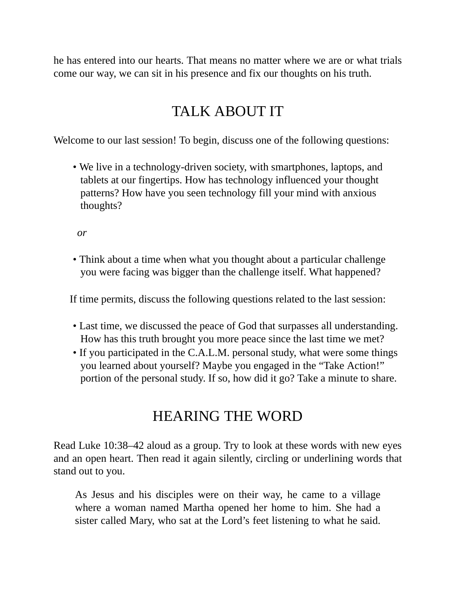he has entered into our hearts. That means no matter where we are or what trials come our way, we can sit in his presence and fix our thoughts on his truth.

# TALK ABOUT IT

Welcome to our last session! To begin, discuss one of the following questions:

• We live in a technology-driven society, with smartphones, laptops, and tablets at our fingertips. How has technology influenced your thought patterns? How have you seen technology fill your mind with anxious thoughts?

*or*

• Think about a time when what you thought about a particular challenge you were facing was bigger than the challenge itself. What happened?

If time permits, discuss the following questions related to the last session:

- Last time, we discussed the peace of God that surpasses all understanding. How has this truth brought you more peace since the last time we met?
- If you participated in the C.A.L.M. personal study, what were some things you learned about yourself? Maybe you engaged in the "Take Action!" portion of the personal study. If so, how did it go? Take a minute to share.

# HEARING THE WORD

Read Luke 10:38–42 aloud as a group. Try to look at these words with new eyes and an open heart. Then read it again silently, circling or underlining words that stand out to you.

As Jesus and his disciples were on their way, he came to a village where a woman named Martha opened her home to him. She had a sister called Mary, who sat at the Lord's feet listening to what he said.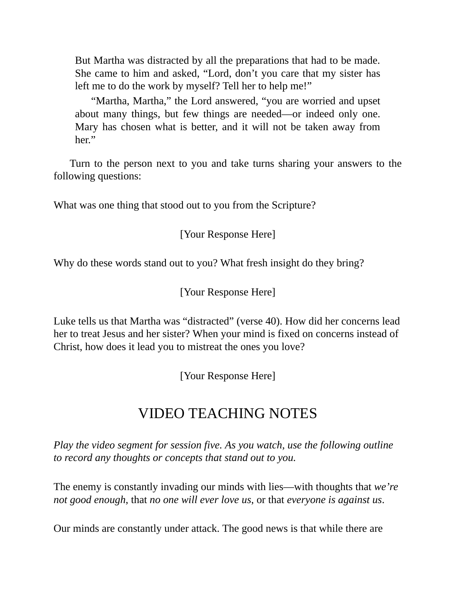But Martha was distracted by all the preparations that had to be made. She came to him and asked, "Lord, don't you care that my sister has left me to do the work by myself? Tell her to help me!"

"Martha, Martha," the Lord answered, "you are worried and upset about many things, but few things are needed—or indeed only one. Mary has chosen what is better, and it will not be taken away from her."

Turn to the person next to you and take turns sharing your answers to the following questions:

What was one thing that stood out to you from the Scripture?

[Your Response Here]

Why do these words stand out to you? What fresh insight do they bring?

[Your Response Here]

Luke tells us that Martha was "distracted" (verse 40). How did her concerns lead her to treat Jesus and her sister? When your mind is fixed on concerns instead of Christ, how does it lead you to mistreat the ones you love?

[Your Response Here]

# VIDEO TEACHING NOTES

*Play the video segment for session five. As you watch, use the following outline to record any thoughts or concepts that stand out to you.*

The enemy is constantly invading our minds with lies—with thoughts that *we're not good enough*, that *no one will ever love us*, or that *everyone is against us*.

Our minds are constantly under attack. The good news is that while there are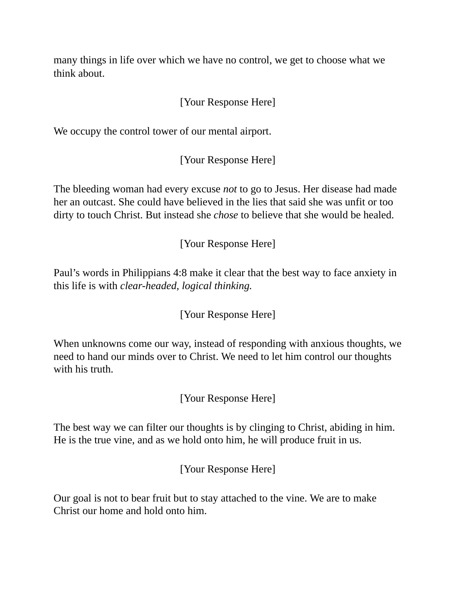many things in life over which we have no control, we get to choose what we think about.

#### [Your Response Here]

We occupy the control tower of our mental airport.

[Your Response Here]

The bleeding woman had every excuse *not* to go to Jesus. Her disease had made her an outcast. She could have believed in the lies that said she was unfit or too dirty to touch Christ. But instead she *chose* to believe that she would be healed.

[Your Response Here]

Paul's words in Philippians 4:8 make it clear that the best way to face anxiety in this life is with *clear-headed, logical thinking.*

[Your Response Here]

When unknowns come our way, instead of responding with anxious thoughts, we need to hand our minds over to Christ. We need to let him control our thoughts with his truth.

[Your Response Here]

The best way we can filter our thoughts is by clinging to Christ, abiding in him. He is the true vine, and as we hold onto him, he will produce fruit in us.

[Your Response Here]

Our goal is not to bear fruit but to stay attached to the vine. We are to make Christ our home and hold onto him.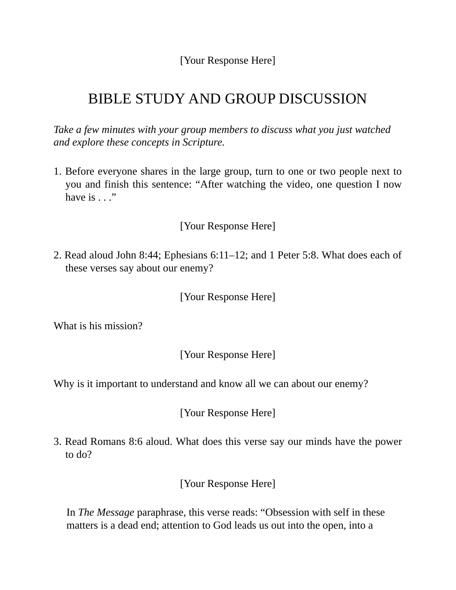#### [Your Response Here]

## BIBLE STUDY AND GROUP DISCUSSION

*Take a few minutes with your group members to discuss what you just watched and explore these concepts in Scripture.*

1. Before everyone shares in the large group, turn to one or two people next to you and finish this sentence: "After watching the video, one question I now have is  $\ldots$ "

#### [Your Response Here]

2. Read aloud John 8:44; Ephesians 6:11–12; and 1 Peter 5:8. What does each of these verses say about our enemy?

#### [Your Response Here]

What is his mission?

#### [Your Response Here]

Why is it important to understand and know all we can about our enemy?

[Your Response Here]

3. Read Romans 8:6 aloud. What does this verse say our minds have the power to do?

[Your Response Here]

In *The Message* paraphrase, this verse reads: "Obsession with self in these matters is a dead end; attention to God leads us out into the open, into a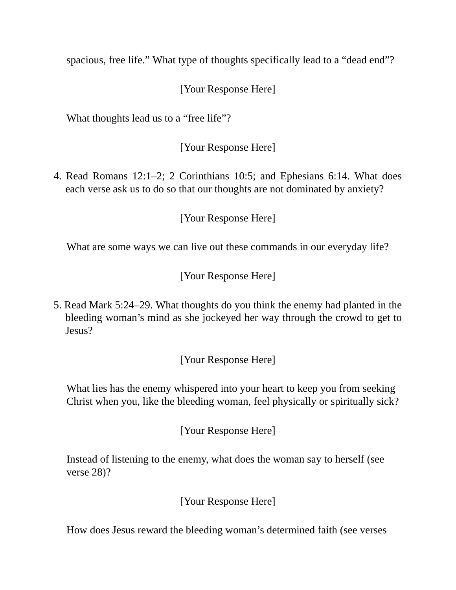spacious, free life." What type of thoughts specifically lead to a "dead end"?

[Your Response Here]

What thoughts lead us to a "free life"?

[Your Response Here]

4. Read Romans 12:1–2; 2 Corinthians 10:5; and Ephesians 6:14. What does each verse ask us to do so that our thoughts are not dominated by anxiety?

[Your Response Here]

What are some ways we can live out these commands in our everyday life?

[Your Response Here]

5. Read Mark 5:24–29. What thoughts do you think the enemy had planted in the bleeding woman's mind as she jockeyed her way through the crowd to get to Jesus?

[Your Response Here]

What lies has the enemy whispered into your heart to keep you from seeking Christ when you, like the bleeding woman, feel physically or spiritually sick?

[Your Response Here]

Instead of listening to the enemy, what does the woman say to herself (see verse 28)?

[Your Response Here]

How does Jesus reward the bleeding woman's determined faith (see verses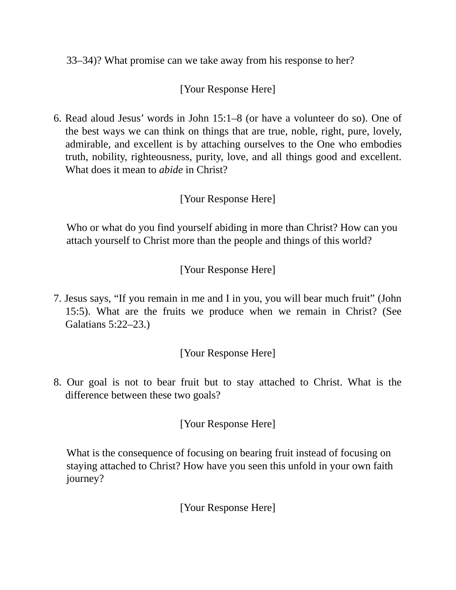33–34)? What promise can we take away from his response to her?

### [Your Response Here]

6. Read aloud Jesus' words in John 15:1–8 (or have a volunteer do so). One of the best ways we can think on things that are true, noble, right, pure, lovely, admirable, and excellent is by attaching ourselves to the One who embodies truth, nobility, righteousness, purity, love, and all things good and excellent. What does it mean to *abide* in Christ?

### [Your Response Here]

Who or what do you find yourself abiding in more than Christ? How can you attach yourself to Christ more than the people and things of this world?

### [Your Response Here]

7. Jesus says, "If you remain in me and I in you, you will bear much fruit" (John 15:5). What are the fruits we produce when we remain in Christ? (See Galatians 5:22–23.)

#### [Your Response Here]

8. Our goal is not to bear fruit but to stay attached to Christ. What is the difference between these two goals?

[Your Response Here]

What is the consequence of focusing on bearing fruit instead of focusing on staying attached to Christ? How have you seen this unfold in your own faith journey?

[Your Response Here]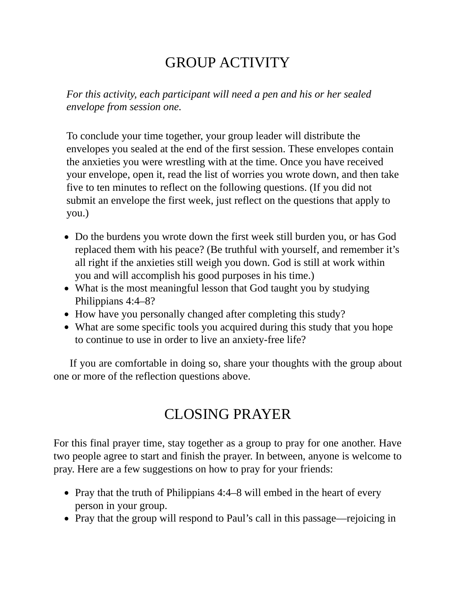# GROUP ACTIVITY

*For this activity, each participant will need a pen and his or her sealed envelope from session one.*

To conclude your time together, your group leader will distribute the envelopes you sealed at the end of the first session. These envelopes contain the anxieties you were wrestling with at the time. Once you have received your envelope, open it, read the list of worries you wrote down, and then take five to ten minutes to reflect on the following questions. (If you did not submit an envelope the first week, just reflect on the questions that apply to you.)

- Do the burdens you wrote down the first week still burden you, or has God replaced them with his peace? (Be truthful with yourself, and remember it's all right if the anxieties still weigh you down. God is still at work within you and will accomplish his good purposes in his time.)
- What is the most meaningful lesson that God taught you by studying Philippians 4:4–8?
- How have you personally changed after completing this study?
- What are some specific tools you acquired during this study that you hope to continue to use in order to live an anxiety-free life?

If you are comfortable in doing so, share your thoughts with the group about one or more of the reflection questions above.

# CLOSING PRAYER

For this final prayer time, stay together as a group to pray for one another. Have two people agree to start and finish the prayer. In between, anyone is welcome to pray. Here are a few suggestions on how to pray for your friends:

- Pray that the truth of Philippians 4:4–8 will embed in the heart of every person in your group.
- Pray that the group will respond to Paul's call in this passage—rejoicing in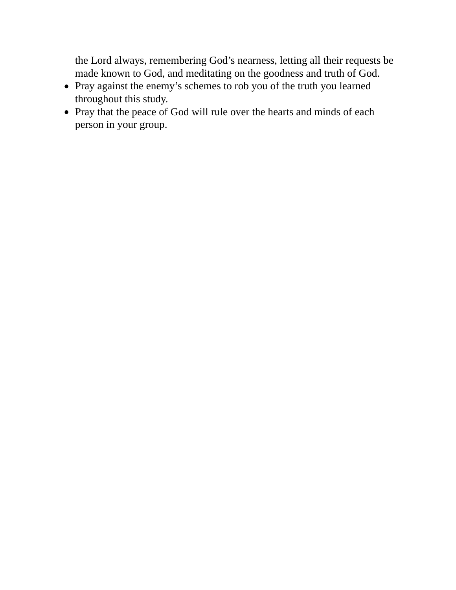the Lord always, remembering God's nearness, letting all their requests be made known to God, and meditating on the goodness and truth of God.

- Pray against the enemy's schemes to rob you of the truth you learned throughout this study.
- Pray that the peace of God will rule over the hearts and minds of each person in your group.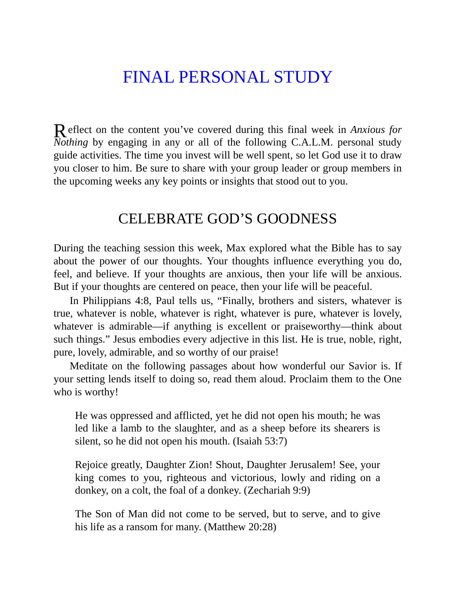# FINAL [PERSONAL](#page-5-1) STUDY

R eflect on the content you've covered during this final week in *Anxious for*<br>Nothing by engaging in any or all of the following  $C_A$  I M, personal study. *Nothing* by engaging in any or all of the following C.A.L.M. personal study guide activities. The time you invest will be well spent, so let God use it to draw you closer to him. Be sure to share with your group leader or group members in the upcoming weeks any key points or insights that stood out to you.

### CELEBRATE GOD'S GOODNESS

During the teaching session this week, Max explored what the Bible has to say about the power of our thoughts. Your thoughts influence everything you do, feel, and believe. If your thoughts are anxious, then your life will be anxious. But if your thoughts are centered on peace, then your life will be peaceful.

In Philippians 4:8, Paul tells us, "Finally, brothers and sisters, whatever is true, whatever is noble, whatever is right, whatever is pure, whatever is lovely, whatever is admirable—if anything is excellent or praiseworthy—think about such things." Jesus embodies every adjective in this list. He is true, noble, right, pure, lovely, admirable, and so worthy of our praise!

Meditate on the following passages about how wonderful our Savior is. If your setting lends itself to doing so, read them aloud. Proclaim them to the One who is worthy!

He was oppressed and afflicted, yet he did not open his mouth; he was led like a lamb to the slaughter, and as a sheep before its shearers is silent, so he did not open his mouth. (Isaiah 53:7)

Rejoice greatly, Daughter Zion! Shout, Daughter Jerusalem! See, your king comes to you, righteous and victorious, lowly and riding on a donkey, on a colt, the foal of a donkey. (Zechariah 9:9)

The Son of Man did not come to be served, but to serve, and to give his life as a ransom for many. (Matthew 20:28)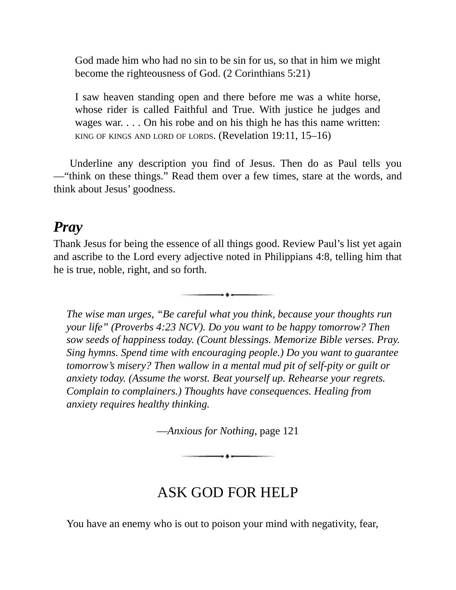God made him who had no sin to be sin for us, so that in him we might become the righteousness of God. (2 Corinthians 5:21)

I saw heaven standing open and there before me was a white horse, whose rider is called Faithful and True. With justice he judges and wages war. . . . On his robe and on his thigh he has this name written: KING OF KINGS AND LORD OF LORDS. (Revelation 19:11, 15–16)

Underline any description you find of Jesus. Then do as Paul tells you —"think on these things." Read them over a few times, stare at the words, and think about Jesus' goodness.

### *Pray*

Thank Jesus for being the essence of all things good. Review Paul's list yet again and ascribe to the Lord every adjective noted in Philippians 4:8, telling him that he is true, noble, right, and so forth.

 $\overline{\phantom{a}}$ 

*The wise man urges, "Be careful what you think, because your thoughts run your life" (Proverbs 4:23 NCV). Do you want to be happy tomorrow? Then sow seeds of happiness today. (Count blessings. Memorize Bible verses. Pray. Sing hymns. Spend time with encouraging people.) Do you want to guarantee tomorrow's misery? Then wallow in a mental mud pit of self-pity or guilt or anxiety today. (Assume the worst. Beat yourself up. Rehearse your regrets. Complain to complainers.) Thoughts have consequences. Healing from anxiety requires healthy thinking.*

—*Anxious for Nothing*, page 121

 $\overline{\phantom{a}}$ 

# ASK GOD FOR HELP

You have an enemy who is out to poison your mind with negativity, fear,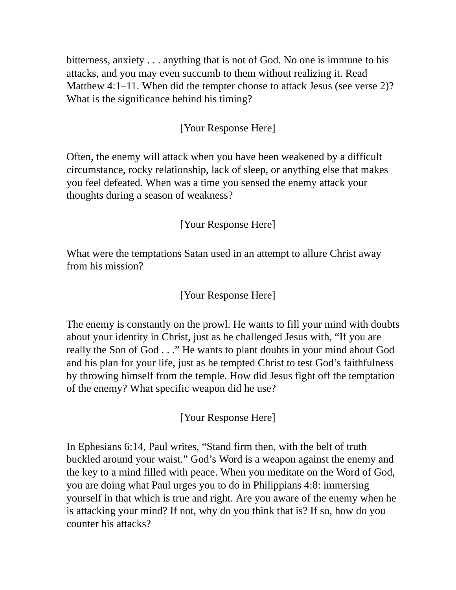bitterness, anxiety . . . anything that is not of God. No one is immune to his attacks, and you may even succumb to them without realizing it. Read Matthew 4:1–11. When did the tempter choose to attack Jesus (see verse 2)? What is the significance behind his timing?

#### [Your Response Here]

Often, the enemy will attack when you have been weakened by a difficult circumstance, rocky relationship, lack of sleep, or anything else that makes you feel defeated. When was a time you sensed the enemy attack your thoughts during a season of weakness?

### [Your Response Here]

What were the temptations Satan used in an attempt to allure Christ away from his mission?

#### [Your Response Here]

The enemy is constantly on the prowl. He wants to fill your mind with doubts about your identity in Christ, just as he challenged Jesus with, "If you are really the Son of God . . ." He wants to plant doubts in your mind about God and his plan for your life, just as he tempted Christ to test God's faithfulness by throwing himself from the temple. How did Jesus fight off the temptation of the enemy? What specific weapon did he use?

[Your Response Here]

In Ephesians 6:14, Paul writes, "Stand firm then, with the belt of truth buckled around your waist." God's Word is a weapon against the enemy and the key to a mind filled with peace. When you meditate on the Word of God, you are doing what Paul urges you to do in Philippians 4:8: immersing yourself in that which is true and right. Are you aware of the enemy when he is attacking your mind? If not, why do you think that is? If so, how do you counter his attacks?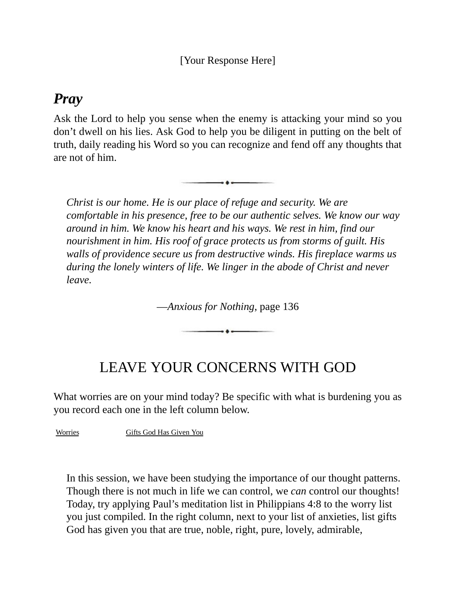## *Pray*

Ask the Lord to help you sense when the enemy is attacking your mind so you don't dwell on his lies. Ask God to help you be diligent in putting on the belt of truth, daily reading his Word so you can recognize and fend off any thoughts that are not of him.

 $\overline{\phantom{a}}$ 

*Christ is our home. He is our place of refuge and security. We are comfortable in his presence, free to be our authentic selves. We know our way around in him. We know his heart and his ways. We rest in him, find our nourishment in him. His roof of grace protects us from storms of guilt. His walls of providence secure us from destructive winds. His fireplace warms us during the lonely winters of life. We linger in the abode of Christ and never leave.*

—*Anxious for Nothing*, page 136

 $\overline{\phantom{a}}$ 

# LEAVE YOUR CONCERNS WITH GOD

What worries are on your mind today? Be specific with what is burdening you as you record each one in the left column below.

Worries Gifts God Has Given You

In this session, we have been studying the importance of our thought patterns. Though there is not much in life we can control, we *can* control our thoughts! Today, try applying Paul's meditation list in Philippians 4:8 to the worry list you just compiled. In the right column, next to your list of anxieties, list gifts God has given you that are true, noble, right, pure, lovely, admirable,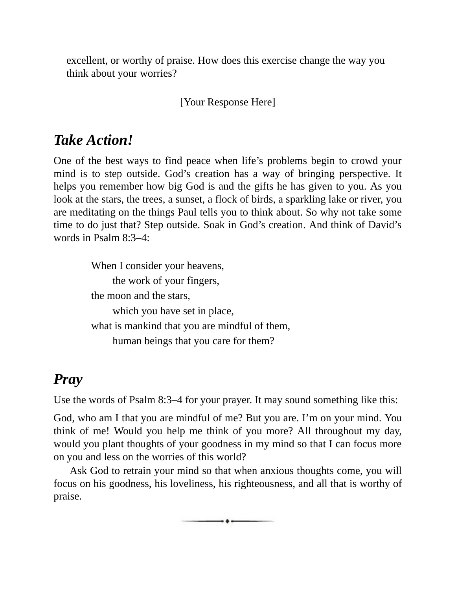excellent, or worthy of praise. How does this exercise change the way you think about your worries?

[Your Response Here]

# *Take Action!*

One of the best ways to find peace when life's problems begin to crowd your mind is to step outside. God's creation has a way of bringing perspective. It helps you remember how big God is and the gifts he has given to you. As you look at the stars, the trees, a sunset, a flock of birds, a sparkling lake or river, you are meditating on the things Paul tells you to think about. So why not take some time to do just that? Step outside. Soak in God's creation. And think of David's words in Psalm 8:3–4:

> When I consider your heavens, the work of your fingers, the moon and the stars, which you have set in place, what is mankind that you are mindful of them, human beings that you care for them?

# *Pray*

Use the words of Psalm 8:3–4 for your prayer. It may sound something like this:

God, who am I that you are mindful of me? But you are. I'm on your mind. You think of me! Would you help me think of you more? All throughout my day, would you plant thoughts of your goodness in my mind so that I can focus more on you and less on the worries of this world?

Ask God to retrain your mind so that when anxious thoughts come, you will focus on his goodness, his loveliness, his righteousness, and all that is worthy of praise.

 $\bullet$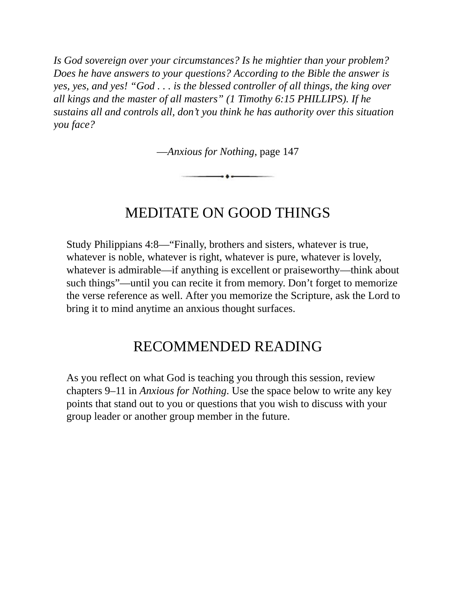*Is God sovereign over your circumstances? Is he mightier than your problem? Does he have answers to your questions? According to the Bible the answer is yes, yes, and yes! "God . . . is the blessed controller of all things, the king over all kings and the master of all masters" (1 Timothy 6:15 PHILLIPS). If he sustains all and controls all, don't you think he has authority over this situation you face?*

—*Anxious for Nothing*, page 147

MEDITATE ON GOOD THINGS

Study Philippians 4:8—"Finally, brothers and sisters, whatever is true, whatever is noble, whatever is right, whatever is pure, whatever is lovely, whatever is admirable—if anything is excellent or praiseworthy—think about such things"—until you can recite it from memory. Don't forget to memorize the verse reference as well. After you memorize the Scripture, ask the Lord to bring it to mind anytime an anxious thought surfaces.

## RECOMMENDED READING

As you reflect on what God is teaching you through this session, review chapters 9–11 in *Anxious for Nothing*. Use the space below to write any key points that stand out to you or questions that you wish to discuss with your group leader or another group member in the future.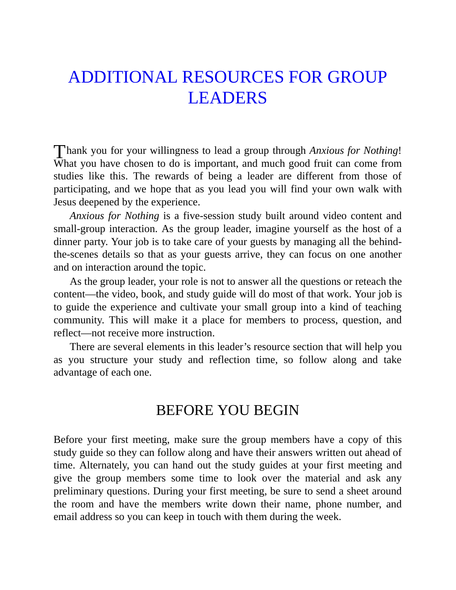# [ADDITIONAL](#page-5-2) RESOURCES FOR GROUP LEADERS

Thank you for your willingness to lead a group through *Anxious for Nothing!* What you have chosen to do is important, and much good fruit can come from studies like this. The rewards of being a leader are different from those of participating, and we hope that as you lead you will find your own walk with Jesus deepened by the experience.

*Anxious for Nothing* is a five-session study built around video content and small-group interaction. As the group leader, imagine yourself as the host of a dinner party. Your job is to take care of your guests by managing all the behindthe-scenes details so that as your guests arrive, they can focus on one another and on interaction around the topic.

As the group leader, your role is not to answer all the questions or reteach the content—the video, book, and study guide will do most of that work. Your job is to guide the experience and cultivate your small group into a kind of teaching community. This will make it a place for members to process, question, and reflect—not receive more instruction.

There are several elements in this leader's resource section that will help you as you structure your study and reflection time, so follow along and take advantage of each one.

### BEFORE YOU BEGIN

Before your first meeting, make sure the group members have a copy of this study guide so they can follow along and have their answers written out ahead of time. Alternately, you can hand out the study guides at your first meeting and give the group members some time to look over the material and ask any preliminary questions. During your first meeting, be sure to send a sheet around the room and have the members write down their name, phone number, and email address so you can keep in touch with them during the week.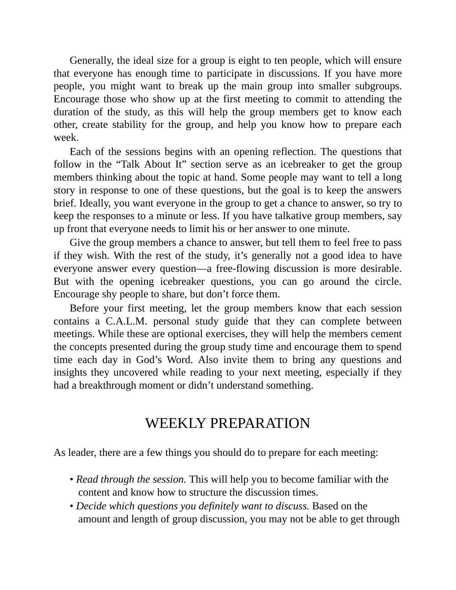Generally, the ideal size for a group is eight to ten people, which will ensure that everyone has enough time to participate in discussions. If you have more people, you might want to break up the main group into smaller subgroups. Encourage those who show up at the first meeting to commit to attending the duration of the study, as this will help the group members get to know each other, create stability for the group, and help you know how to prepare each week.

Each of the sessions begins with an opening reflection. The questions that follow in the "Talk About It" section serve as an icebreaker to get the group members thinking about the topic at hand. Some people may want to tell a long story in response to one of these questions, but the goal is to keep the answers brief. Ideally, you want everyone in the group to get a chance to answer, so try to keep the responses to a minute or less. If you have talkative group members, say up front that everyone needs to limit his or her answer to one minute.

Give the group members a chance to answer, but tell them to feel free to pass if they wish. With the rest of the study, it's generally not a good idea to have everyone answer every question—a free-flowing discussion is more desirable. But with the opening icebreaker questions, you can go around the circle. Encourage shy people to share, but don't force them.

Before your first meeting, let the group members know that each session contains a C.A.L.M. personal study guide that they can complete between meetings. While these are optional exercises, they will help the members cement the concepts presented during the group study time and encourage them to spend time each day in God's Word. Also invite them to bring any questions and insights they uncovered while reading to your next meeting, especially if they had a breakthrough moment or didn't understand something.

## WEEKLY PREPARATION

As leader, there are a few things you should do to prepare for each meeting:

- *Read through the session.* This will help you to become familiar with the content and know how to structure the discussion times.
- *Decide which questions you definitely want to discuss.* Based on the amount and length of group discussion, you may not be able to get through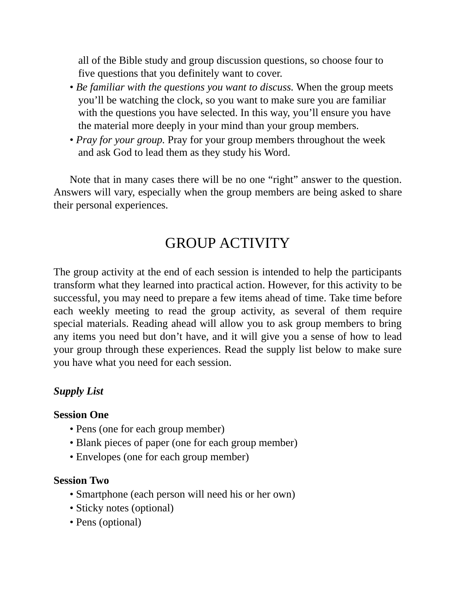all of the Bible study and group discussion questions, so choose four to five questions that you definitely want to cover.

- *Be familiar with the questions you want to discuss.* When the group meets you'll be watching the clock, so you want to make sure you are familiar with the questions you have selected. In this way, you'll ensure you have the material more deeply in your mind than your group members.
- *Pray for your group.* Pray for your group members throughout the week and ask God to lead them as they study his Word.

Note that in many cases there will be no one "right" answer to the question. Answers will vary, especially when the group members are being asked to share their personal experiences.

# GROUP ACTIVITY

The group activity at the end of each session is intended to help the participants transform what they learned into practical action. However, for this activity to be successful, you may need to prepare a few items ahead of time. Take time before each weekly meeting to read the group activity, as several of them require special materials. Reading ahead will allow you to ask group members to bring any items you need but don't have, and it will give you a sense of how to lead your group through these experiences. Read the supply list below to make sure you have what you need for each session.

#### *Supply List*

#### **Session One**

- Pens (one for each group member)
- Blank pieces of paper (one for each group member)
- Envelopes (one for each group member)

#### **Session Two**

- Smartphone (each person will need his or her own)
- Sticky notes (optional)
- Pens (optional)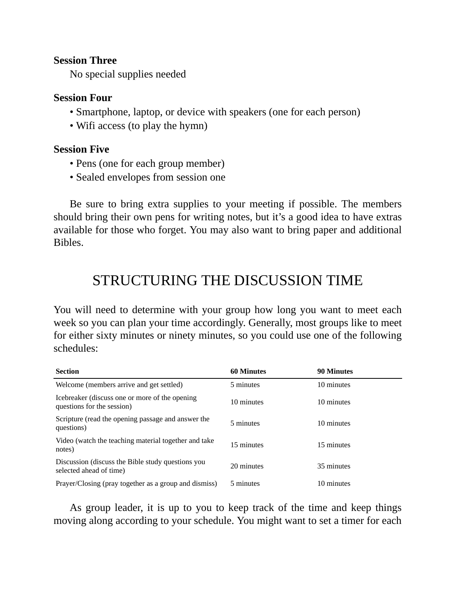#### **Session Three**

No special supplies needed

#### **Session Four**

- Smartphone, laptop, or device with speakers (one for each person)
- Wifi access (to play the hymn)

#### **Session Five**

- Pens (one for each group member)
- Sealed envelopes from session one

Be sure to bring extra supplies to your meeting if possible. The members should bring their own pens for writing notes, but it's a good idea to have extras available for those who forget. You may also want to bring paper and additional Bibles.

# STRUCTURING THE DISCUSSION TIME

You will need to determine with your group how long you want to meet each week so you can plan your time accordingly. Generally, most groups like to meet for either sixty minutes or ninety minutes, so you could use one of the following schedules:

| <b>Section</b>                                                                | <b>60 Minutes</b> | <b>90 Minutes</b> |
|-------------------------------------------------------------------------------|-------------------|-------------------|
| Welcome (members arrive and get settled)                                      | 5 minutes         | 10 minutes        |
| Icebreaker (discuss one or more of the opening)<br>questions for the session) | 10 minutes        | 10 minutes        |
| Scripture (read the opening passage and answer the<br>questions)              | 5 minutes         | 10 minutes        |
| Video (watch the teaching material together and take<br>notes)                | 15 minutes        | 15 minutes        |
| Discussion (discuss the Bible study questions you<br>selected ahead of time)  | 20 minutes        | 35 minutes        |
| Prayer/Closing (pray together as a group and dismiss)                         | 5 minutes         | 10 minutes        |

As group leader, it is up to you to keep track of the time and keep things moving along according to your schedule. You might want to set a timer for each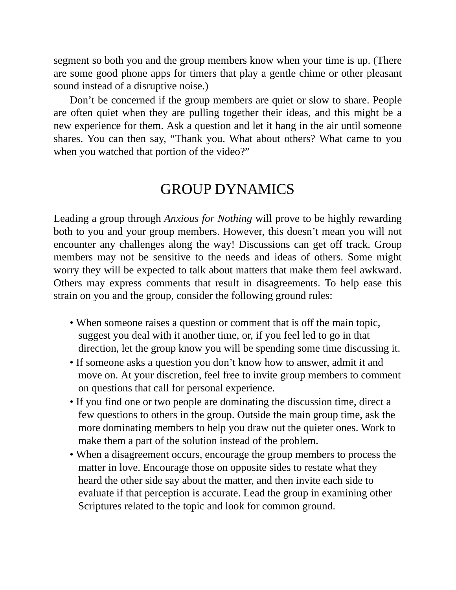segment so both you and the group members know when your time is up. (There are some good phone apps for timers that play a gentle chime or other pleasant sound instead of a disruptive noise.)

Don't be concerned if the group members are quiet or slow to share. People are often quiet when they are pulling together their ideas, and this might be a new experience for them. Ask a question and let it hang in the air until someone shares. You can then say, "Thank you. What about others? What came to you when you watched that portion of the video?"

## GROUP DYNAMICS

Leading a group through *Anxious for Nothing* will prove to be highly rewarding both to you and your group members. However, this doesn't mean you will not encounter any challenges along the way! Discussions can get off track. Group members may not be sensitive to the needs and ideas of others. Some might worry they will be expected to talk about matters that make them feel awkward. Others may express comments that result in disagreements. To help ease this strain on you and the group, consider the following ground rules:

- When someone raises a question or comment that is off the main topic, suggest you deal with it another time, or, if you feel led to go in that direction, let the group know you will be spending some time discussing it.
- If someone asks a question you don't know how to answer, admit it and move on. At your discretion, feel free to invite group members to comment on questions that call for personal experience.
- If you find one or two people are dominating the discussion time, direct a few questions to others in the group. Outside the main group time, ask the more dominating members to help you draw out the quieter ones. Work to make them a part of the solution instead of the problem.
- When a disagreement occurs, encourage the group members to process the matter in love. Encourage those on opposite sides to restate what they heard the other side say about the matter, and then invite each side to evaluate if that perception is accurate. Lead the group in examining other Scriptures related to the topic and look for common ground.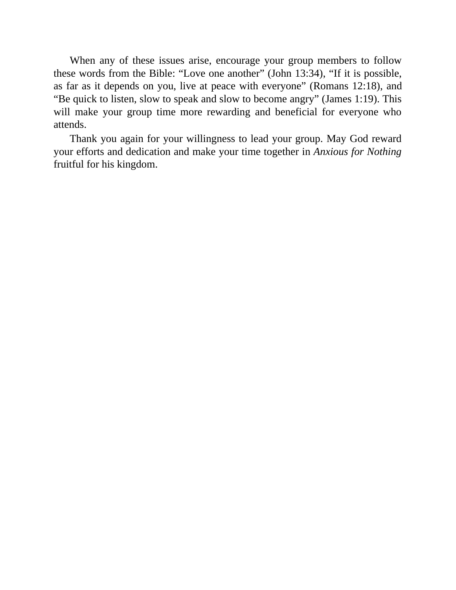When any of these issues arise, encourage your group members to follow these words from the Bible: "Love one another" (John 13:34), "If it is possible, as far as it depends on you, live at peace with everyone" (Romans 12:18), and "Be quick to listen, slow to speak and slow to become angry" (James 1:19). This will make your group time more rewarding and beneficial for everyone who attends.

Thank you again for your willingness to lead your group. May God reward your efforts and dedication and make your time together in *Anxious for Nothing* fruitful for his kingdom.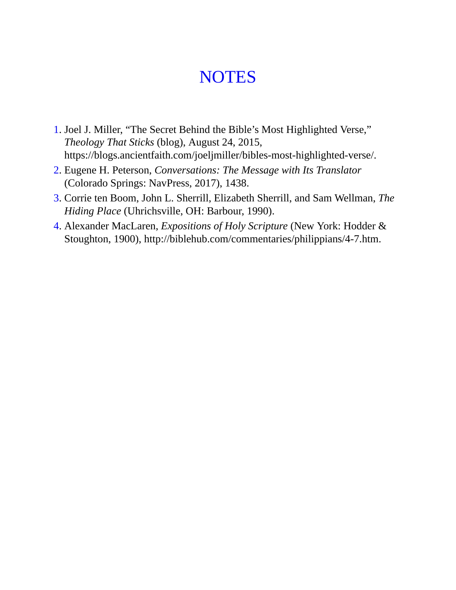# <span id="page-96-0"></span>**[NOTES](#page-5-3)**

- 1. Joel J. Miller, "The Secret Behind the Bible's Most Highlighted Verse," *Theology That Sticks* (blog), August 24, 2015, https://blogs.ancientfaith.com/joeljmiller/bibles-most-highlighted-verse/.
- 2. Eugene H. Peterson, *Conversations: The Message with Its Translator* (Colorado Springs: NavPress, 2017), 1438.
- 3. Corrie ten Boom, John L. Sherrill, Elizabeth Sherrill, and Sam Wellman, *The Hiding Place* (Uhrichsville, OH: Barbour, 1990).
- 4. Alexander MacLaren, *Expositions of Holy Scripture* (New York: Hodder & Stoughton, 1900), http://biblehub.com/commentaries/philippians/4-7.htm.